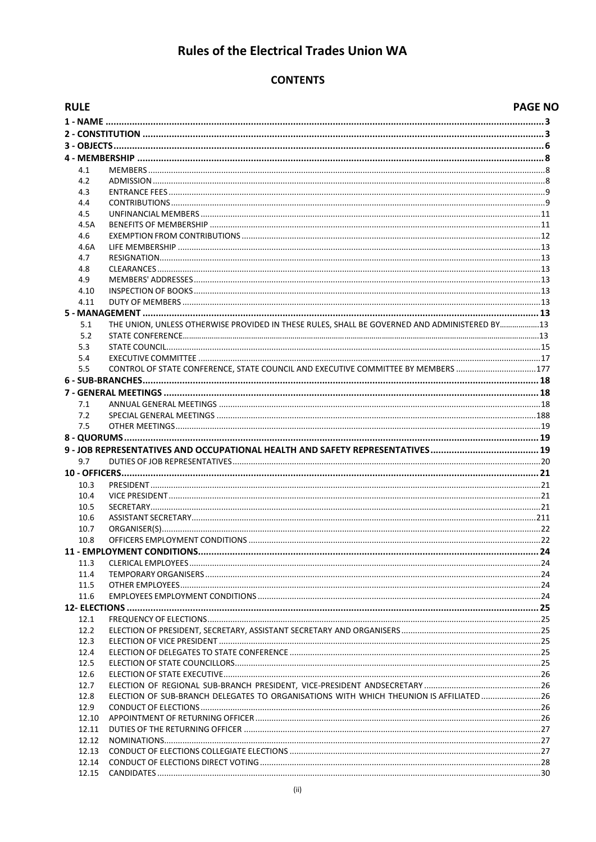# **Rules of the Electrical Trades Union WA**

# **CONTENTS**

| <b>RULE</b> |                                                                                              | <b>PAGE NO</b> |
|-------------|----------------------------------------------------------------------------------------------|----------------|
|             |                                                                                              |                |
|             |                                                                                              |                |
|             |                                                                                              |                |
|             |                                                                                              |                |
| 4.1         |                                                                                              |                |
| 4.2         |                                                                                              |                |
| 4.3         |                                                                                              |                |
| 4.4         |                                                                                              |                |
| 4.5         |                                                                                              |                |
| 4.5A        |                                                                                              |                |
| 4.6         |                                                                                              |                |
| 4.6A        |                                                                                              |                |
| 4.7         |                                                                                              |                |
| 4.8         |                                                                                              |                |
| 4.9         |                                                                                              |                |
| 4.10        |                                                                                              |                |
| 4.11        |                                                                                              |                |
|             |                                                                                              |                |
| 5.1         | THE UNION, UNLESS OTHERWISE PROVIDED IN THESE RULES, SHALL BE GOVERNED AND ADMINISTERED BY13 |                |
| 5.2         |                                                                                              |                |
| 5.3         |                                                                                              |                |
| 5.4         |                                                                                              |                |
| 5.5         | CONTROL OF STATE CONFERENCE, STATE COUNCIL AND EXECUTIVE COMMITTEE BY MEMBERS 177            |                |
|             |                                                                                              |                |
|             |                                                                                              |                |
| 7.1         |                                                                                              |                |
| 7.2         |                                                                                              |                |
| 7.5         |                                                                                              |                |
|             |                                                                                              |                |
|             |                                                                                              |                |
| 9.7         |                                                                                              |                |
|             |                                                                                              |                |
| 10.3        |                                                                                              |                |
| 10.4        |                                                                                              |                |
| 10.5        |                                                                                              |                |
| 10.6        |                                                                                              |                |
| 10.7        |                                                                                              |                |
| 10.8        |                                                                                              |                |
|             |                                                                                              |                |
| 11.3        |                                                                                              |                |
| 11.4        |                                                                                              |                |
| 11.5        |                                                                                              |                |
| 11.6        |                                                                                              |                |
|             |                                                                                              |                |
| 12.1        |                                                                                              |                |
| 12.2        |                                                                                              |                |
| 12.3        |                                                                                              |                |
| 12.4        |                                                                                              |                |
| 12.5        |                                                                                              |                |
| 12.6        |                                                                                              |                |
| 12.7        |                                                                                              |                |
| 12.8        | ELECTION OF SUB-BRANCH DELEGATES TO ORGANISATIONS WITH WHICH THEUNION IS AFFILIATED26        |                |
| 12.9        |                                                                                              |                |
| 12.10       |                                                                                              |                |
| 12.11       |                                                                                              |                |
| 12.12       |                                                                                              |                |
| 12.13       |                                                                                              |                |
| 12.14       |                                                                                              |                |
| 12.15       |                                                                                              |                |
|             |                                                                                              |                |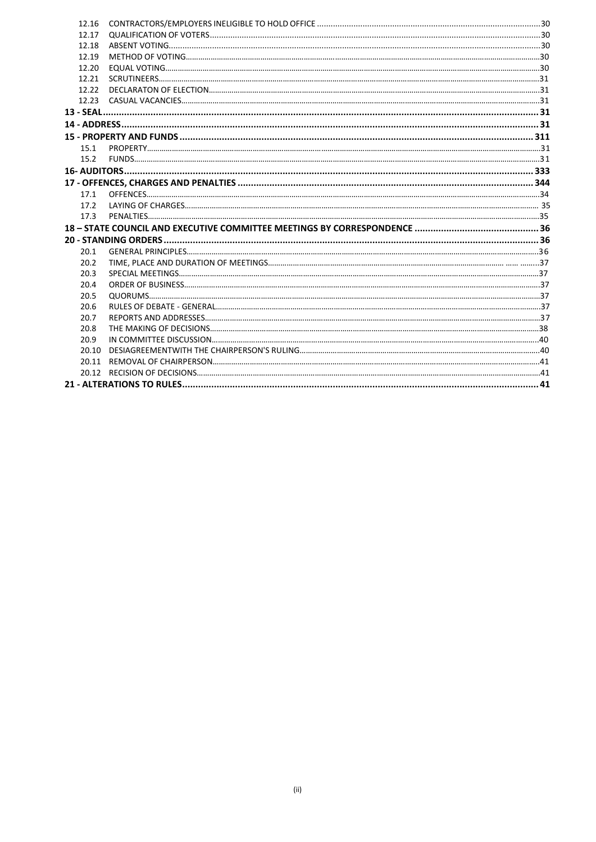| 12.16 |  |
|-------|--|
| 12.17 |  |
| 12.18 |  |
| 12.19 |  |
| 12.20 |  |
| 12.21 |  |
| 12.22 |  |
|       |  |
|       |  |
|       |  |
|       |  |
| 15.1  |  |
| 15.2  |  |
|       |  |
|       |  |
| 17.1  |  |
| 17.2  |  |
| 17.3  |  |
|       |  |
|       |  |
| 20.1  |  |
| 20.2  |  |
| 20.3  |  |
| 20.4  |  |
| 20.5  |  |
| 20.6  |  |
| 20.7  |  |
| 20.8  |  |
| 20.9  |  |
| 20.10 |  |
|       |  |
|       |  |
|       |  |
|       |  |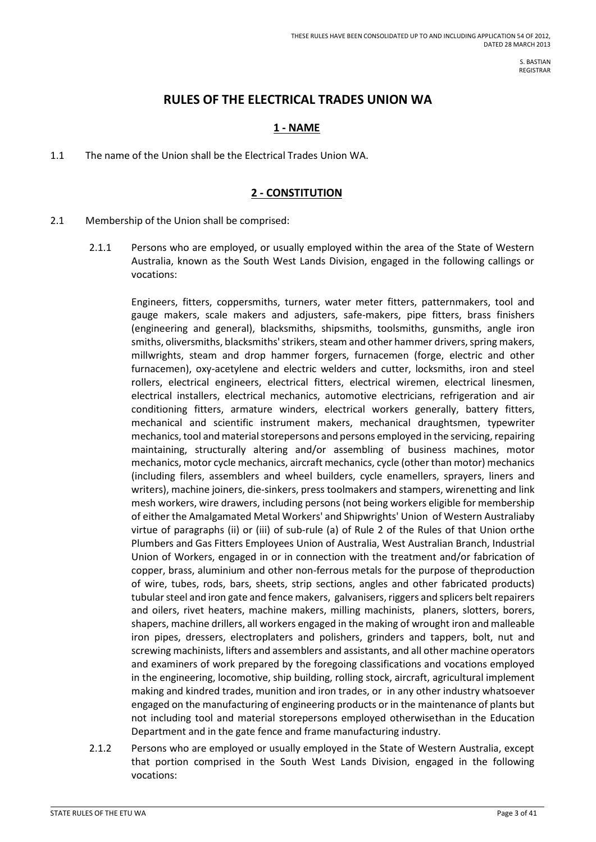S. BASTIAN REGISTRAR

# **RULES OF THE ELECTRICAL TRADES UNION WA**

# **1 - NAME**

<span id="page-2-0"></span>1.1 The name of the Union shall be the Electrical Trades Union WA.

### **2 - CONSTITUTION**

- <span id="page-2-1"></span>2.1 Membership of the Union shall be comprised:
	- 2.1.1 Persons who are employed, or usually employed within the area of the State of Western Australia, known as the South West Lands Division, engaged in the following callings or vocations:

Engineers, fitters, coppersmiths, turners, water meter fitters, patternmakers, tool and gauge makers, scale makers and adjusters, safe-makers, pipe fitters, brass finishers (engineering and general), blacksmiths, shipsmiths, toolsmiths, gunsmiths, angle iron smiths, oliversmiths, blacksmiths' strikers, steam and other hammer drivers, spring makers, millwrights, steam and drop hammer forgers, furnacemen (forge, electric and other furnacemen), oxy-acetylene and electric welders and cutter, locksmiths, iron and steel rollers, electrical engineers, electrical fitters, electrical wiremen, electrical linesmen, electrical installers, electrical mechanics, automotive electricians, refrigeration and air conditioning fitters, armature winders, electrical workers generally, battery fitters, mechanical and scientific instrument makers, mechanical draughtsmen, typewriter mechanics, tool and material storepersons and persons employed in the servicing, repairing maintaining, structurally altering and/or assembling of business machines, motor mechanics, motor cycle mechanics, aircraft mechanics, cycle (other than motor) mechanics (including filers, assemblers and wheel builders, cycle enamellers, sprayers, liners and writers), machine joiners, die-sinkers, press toolmakers and stampers, wirenetting and link mesh workers, wire drawers, including persons (not being workers eligible for membership of either the Amalgamated Metal Workers' and Shipwrights' Union of Western Australiaby virtue of paragraphs (ii) or (iii) of sub-rule (a) of Rule 2 of the Rules of that Union orthe Plumbers and Gas Fitters Employees Union of Australia, West Australian Branch, Industrial Union of Workers, engaged in or in connection with the treatment and/or fabrication of copper, brass, aluminium and other non-ferrous metals for the purpose of theproduction of wire, tubes, rods, bars, sheets, strip sections, angles and other fabricated products) tubular steel and iron gate and fence makers, galvanisers, riggers and splicers belt repairers and oilers, rivet heaters, machine makers, milling machinists, planers, slotters, borers, shapers, machine drillers, all workers engaged in the making of wrought iron and malleable iron pipes, dressers, electroplaters and polishers, grinders and tappers, bolt, nut and screwing machinists, lifters and assemblers and assistants, and all other machine operators and examiners of work prepared by the foregoing classifications and vocations employed in the engineering, locomotive, ship building, rolling stock, aircraft, agricultural implement making and kindred trades, munition and iron trades, or in any other industry whatsoever engaged on the manufacturing of engineering products or in the maintenance of plants but not including tool and material storepersons employed otherwisethan in the Education Department and in the gate fence and frame manufacturing industry.

2.1.2 Persons who are employed or usually employed in the State of Western Australia, except that portion comprised in the South West Lands Division, engaged in the following vocations: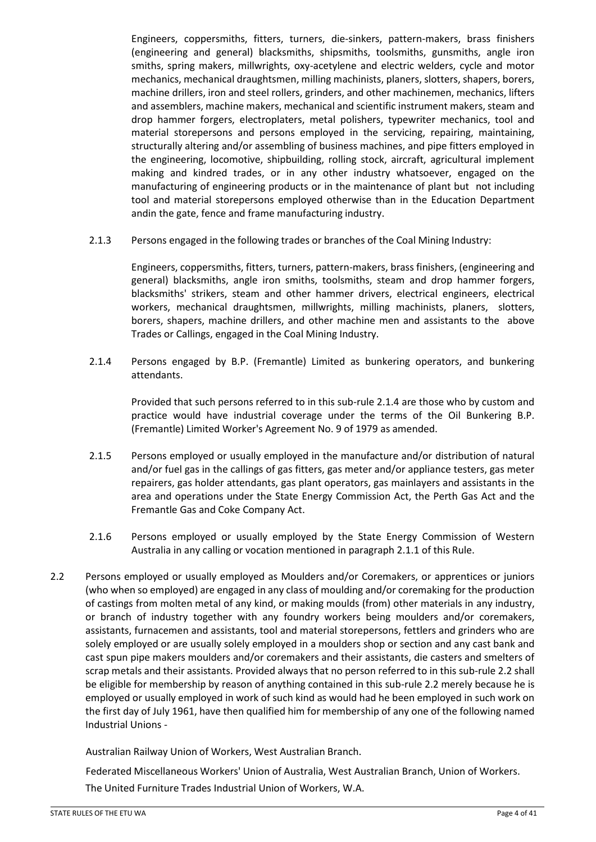Engineers, coppersmiths, fitters, turners, die-sinkers, pattern-makers, brass finishers (engineering and general) blacksmiths, shipsmiths, toolsmiths, gunsmiths, angle iron smiths, spring makers, millwrights, oxy-acetylene and electric welders, cycle and motor mechanics, mechanical draughtsmen, milling machinists, planers, slotters, shapers, borers, machine drillers, iron and steel rollers, grinders, and other machinemen, mechanics, lifters and assemblers, machine makers, mechanical and scientific instrument makers, steam and drop hammer forgers, electroplaters, metal polishers, typewriter mechanics, tool and material storepersons and persons employed in the servicing, repairing, maintaining, structurally altering and/or assembling of business machines, and pipe fitters employed in the engineering, locomotive, shipbuilding, rolling stock, aircraft, agricultural implement making and kindred trades, or in any other industry whatsoever, engaged on the manufacturing of engineering products or in the maintenance of plant but not including tool and material storepersons employed otherwise than in the Education Department andin the gate, fence and frame manufacturing industry.

2.1.3 Persons engaged in the following trades or branches of the Coal Mining Industry:

Engineers, coppersmiths, fitters, turners, pattern-makers, brass finishers, (engineering and general) blacksmiths, angle iron smiths, toolsmiths, steam and drop hammer forgers, blacksmiths' strikers, steam and other hammer drivers, electrical engineers, electrical workers, mechanical draughtsmen, millwrights, milling machinists, planers, slotters, borers, shapers, machine drillers, and other machine men and assistants to the above Trades or Callings, engaged in the Coal Mining Industry.

2.1.4 Persons engaged by B.P. (Fremantle) Limited as bunkering operators, and bunkering attendants.

Provided that such persons referred to in this sub-rule 2.1.4 are those who by custom and practice would have industrial coverage under the terms of the Oil Bunkering B.P. (Fremantle) Limited Worker's Agreement No. 9 of 1979 as amended.

- 2.1.5 Persons employed or usually employed in the manufacture and/or distribution of natural and/or fuel gas in the callings of gas fitters, gas meter and/or appliance testers, gas meter repairers, gas holder attendants, gas plant operators, gas mainlayers and assistants in the area and operations under the State Energy Commission Act, the Perth Gas Act and the Fremantle Gas and Coke Company Act.
- 2.1.6 Persons employed or usually employed by the State Energy Commission of Western Australia in any calling or vocation mentioned in paragraph 2.1.1 of this Rule.
- 2.2 Persons employed or usually employed as Moulders and/or Coremakers, or apprentices or juniors (who when so employed) are engaged in any class of moulding and/or coremaking for the production of castings from molten metal of any kind, or making moulds (from) other materials in any industry, or branch of industry together with any foundry workers being moulders and/or coremakers, assistants, furnacemen and assistants, tool and material storepersons, fettlers and grinders who are solely employed or are usually solely employed in a moulders shop or section and any cast bank and cast spun pipe makers moulders and/or coremakers and their assistants, die casters and smelters of scrap metals and their assistants. Provided always that no person referred to in this sub-rule 2.2 shall be eligible for membership by reason of anything contained in this sub-rule 2.2 merely because he is employed or usually employed in work of such kind as would had he been employed in such work on the first day of July 1961, have then qualified him for membership of any one of the following named Industrial Unions -

Australian Railway Union of Workers, West Australian Branch.

Federated Miscellaneous Workers' Union of Australia, West Australian Branch, Union of Workers. The United Furniture Trades Industrial Union of Workers, W.A.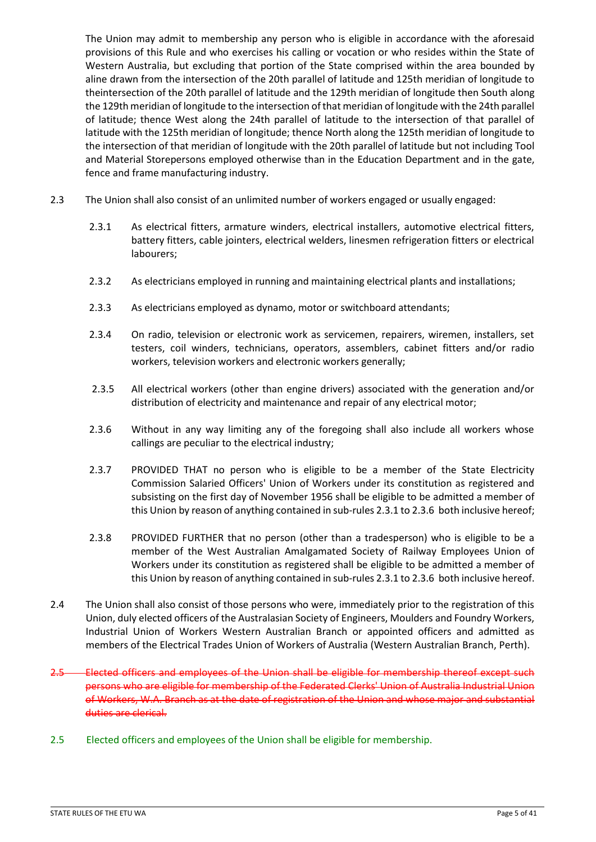The Union may admit to membership any person who is eligible in accordance with the aforesaid provisions of this Rule and who exercises his calling or vocation or who resides within the State of Western Australia, but excluding that portion of the State comprised within the area bounded by aline drawn from the intersection of the 20th parallel of latitude and 125th meridian of longitude to theintersection of the 20th parallel of latitude and the 129th meridian of longitude then South along the 129th meridian of longitude to the intersection of that meridian of longitude with the 24th parallel of latitude; thence West along the 24th parallel of latitude to the intersection of that parallel of latitude with the 125th meridian of longitude; thence North along the 125th meridian of longitude to the intersection of that meridian of longitude with the 20th parallel of latitude but not including Tool and Material Storepersons employed otherwise than in the Education Department and in the gate, fence and frame manufacturing industry.

- 2.3 The Union shall also consist of an unlimited number of workers engaged or usually engaged:
	- 2.3.1 As electrical fitters, armature winders, electrical installers, automotive electrical fitters, battery fitters, cable jointers, electrical welders, linesmen refrigeration fitters or electrical labourers;
	- 2.3.2 As electricians employed in running and maintaining electrical plants and installations;
	- 2.3.3 As electricians employed as dynamo, motor or switchboard attendants;
	- 2.3.4 On radio, television or electronic work as servicemen, repairers, wiremen, installers, set testers, coil winders, technicians, operators, assemblers, cabinet fitters and/or radio workers, television workers and electronic workers generally;
	- 2.3.5 All electrical workers (other than engine drivers) associated with the generation and/or distribution of electricity and maintenance and repair of any electrical motor;
	- 2.3.6 Without in any way limiting any of the foregoing shall also include all workers whose callings are peculiar to the electrical industry;
	- 2.3.7 PROVIDED THAT no person who is eligible to be a member of the State Electricity Commission Salaried Officers' Union of Workers under its constitution as registered and subsisting on the first day of November 1956 shall be eligible to be admitted a member of this Union by reason of anything contained in sub-rules 2.3.1 to 2.3.6 both inclusive hereof;
	- 2.3.8 PROVIDED FURTHER that no person (other than a tradesperson) who is eligible to be a member of the West Australian Amalgamated Society of Railway Employees Union of Workers under its constitution as registered shall be eligible to be admitted a member of this Union by reason of anything contained in sub-rules 2.3.1 to 2.3.6 both inclusive hereof.
- 2.4 The Union shall also consist of those persons who were, immediately prior to the registration of this Union, duly elected officers of the Australasian Society of Engineers, Moulders and Foundry Workers, Industrial Union of Workers Western Australian Branch or appointed officers and admitted as members of the Electrical Trades Union of Workers of Australia (Western Australian Branch, Perth).
- 2.5 Elected officers and employees of the Union shall be eligible for membership thereof except such persons who are eligible for membership of the Federated Clerks' Union of Australia Industrial Union of Workers, W.A. Branch as at the date of registration of the Union and whose major and substantial duties are clerical.
- 2.5 Elected officers and employees of the Union shall be eligible for membership.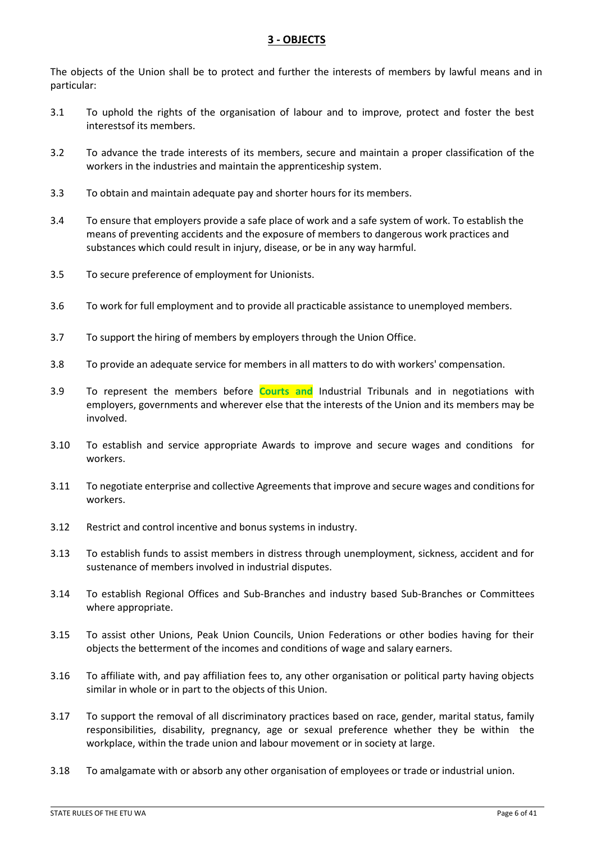# **3 - OBJECTS**

<span id="page-5-0"></span>The objects of the Union shall be to protect and further the interests of members by lawful means and in particular:

- 3.1 To uphold the rights of the organisation of labour and to improve, protect and foster the best interestsof its members.
- 3.2 To advance the trade interests of its members, secure and maintain a proper classification of the workers in the industries and maintain the apprenticeship system.
- 3.3 To obtain and maintain adequate pay and shorter hours for its members.
- 3.4 To ensure that employers provide a safe place of work and a safe system of work. To establish the means of preventing accidents and the exposure of members to dangerous work practices and substances which could result in injury, disease, or be in any way harmful.
- 3.5 To secure preference of employment for Unionists.
- 3.6 To work for full employment and to provide all practicable assistance to unemployed members.
- 3.7 To support the hiring of members by employers through the Union Office.
- 3.8 To provide an adequate service for members in all matters to do with workers' compensation.
- 3.9 To represent the members before **Courts and** Industrial Tribunals and in negotiations with employers, governments and wherever else that the interests of the Union and its members may be involved.
- 3.10 To establish and service appropriate Awards to improve and secure wages and conditions for workers.
- 3.11 To negotiate enterprise and collective Agreements that improve and secure wages and conditions for workers.
- 3.12 Restrict and control incentive and bonus systems in industry.
- 3.13 To establish funds to assist members in distress through unemployment, sickness, accident and for sustenance of members involved in industrial disputes.
- 3.14 To establish Regional Offices and Sub-Branches and industry based Sub-Branches or Committees where appropriate.
- 3.15 To assist other Unions, Peak Union Councils, Union Federations or other bodies having for their objects the betterment of the incomes and conditions of wage and salary earners.
- 3.16 To affiliate with, and pay affiliation fees to, any other organisation or political party having objects similar in whole or in part to the objects of this Union.
- 3.17 To support the removal of all discriminatory practices based on race, gender, marital status, family responsibilities, disability, pregnancy, age or sexual preference whether they be within the workplace, within the trade union and labour movement or in society at large.
- 3.18 To amalgamate with or absorb any other organisation of employees or trade or industrial union.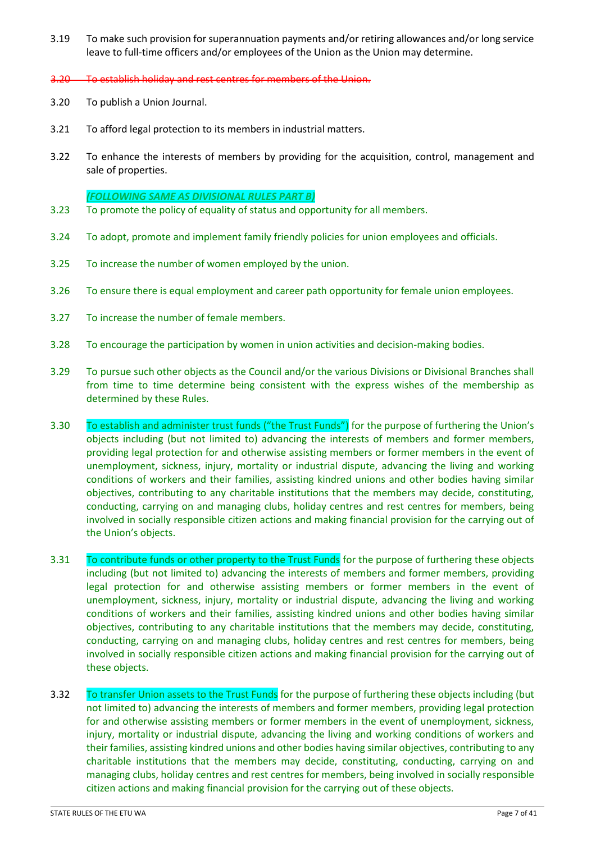- 3.19 To make such provision for superannuation payments and/or retiring allowances and/or long service leave to full-time officers and/or employees of the Union as the Union may determine.
- 3.20 To establish holiday and rest centres for members of the Union.
- 3.20 To publish a Union Journal.
- 3.21 To afford legal protection to its members in industrial matters.
- 3.22 To enhance the interests of members by providing for the acquisition, control, management and sale of properties.

#### *(FOLLOWING SAME AS DIVISIONAL RULES PART B)*

- 3.23 To promote the policy of equality of status and opportunity for all members.
- 3.24 To adopt, promote and implement family friendly policies for union employees and officials.
- 3.25 To increase the number of women employed by the union.
- 3.26 To ensure there is equal employment and career path opportunity for female union employees.
- 3.27 To increase the number of female members.
- 3.28 To encourage the participation by women in union activities and decision-making bodies.
- 3.29 To pursue such other objects as the Council and/or the various Divisions or Divisional Branches shall from time to time determine being consistent with the express wishes of the membership as determined by these Rules.
- 3.30 To establish and administer trust funds ("the Trust Funds") for the purpose of furthering the Union's objects including (but not limited to) advancing the interests of members and former members, providing legal protection for and otherwise assisting members or former members in the event of unemployment, sickness, injury, mortality or industrial dispute, advancing the living and working conditions of workers and their families, assisting kindred unions and other bodies having similar objectives, contributing to any charitable institutions that the members may decide, constituting, conducting, carrying on and managing clubs, holiday centres and rest centres for members, being involved in socially responsible citizen actions and making financial provision for the carrying out of the Union's objects.
- 3.31 To contribute funds or other property to the Trust Funds for the purpose of furthering these objects including (but not limited to) advancing the interests of members and former members, providing legal protection for and otherwise assisting members or former members in the event of unemployment, sickness, injury, mortality or industrial dispute, advancing the living and working conditions of workers and their families, assisting kindred unions and other bodies having similar objectives, contributing to any charitable institutions that the members may decide, constituting, conducting, carrying on and managing clubs, holiday centres and rest centres for members, being involved in socially responsible citizen actions and making financial provision for the carrying out of these objects.
- 3.32 To transfer Union assets to the Trust Funds for the purpose of furthering these objects including (but not limited to) advancing the interests of members and former members, providing legal protection for and otherwise assisting members or former members in the event of unemployment, sickness, injury, mortality or industrial dispute, advancing the living and working conditions of workers and their families, assisting kindred unions and other bodies having similar objectives, contributing to any charitable institutions that the members may decide, constituting, conducting, carrying on and managing clubs, holiday centres and rest centres for members, being involved in socially responsible citizen actions and making financial provision for the carrying out of these objects.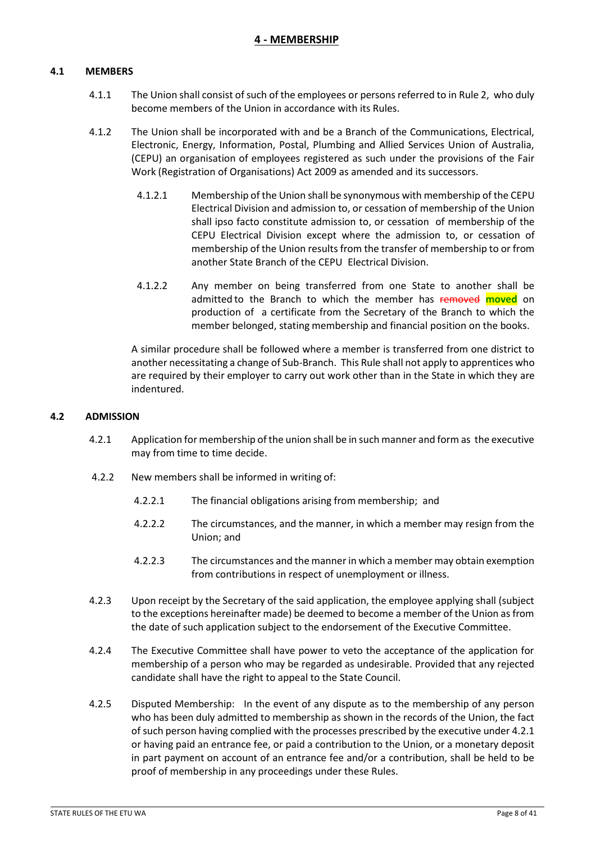### **4 - MEMBERSHIP**

### <span id="page-7-1"></span><span id="page-7-0"></span>**4.1 MEMBERS**

- 4.1.1 The Union shall consist of such of the employees or persons referred to in Rule 2, who duly become members of the Union in accordance with its Rules.
- 4.1.2 The Union shall be incorporated with and be a Branch of the Communications, Electrical, Electronic, Energy, Information, Postal, Plumbing and Allied Services Union of Australia, (CEPU) an organisation of employees registered as such under the provisions of the Fair Work (Registration of Organisations) Act 2009 as amended and its successors.
	- 4.1.2.1 Membership of the Union shall be synonymous with membership of the CEPU Electrical Division and admission to, or cessation of membership of the Union shall ipso facto constitute admission to, or cessation of membership of the CEPU Electrical Division except where the admission to, or cessation of membership of the Union results from the transfer of membership to or from another State Branch of the CEPU Electrical Division.
	- 4.1.2.2 Any member on being transferred from one State to another shall be admitted to the Branch to which the member has removed **moved** on production of a certificate from the Secretary of the Branch to which the member belonged, stating membership and financial position on the books.

A similar procedure shall be followed where a member is transferred from one district to another necessitating a change of Sub-Branch. This Rule shall not apply to apprentices who are required by their employer to carry out work other than in the State in which they are indentured.

#### <span id="page-7-2"></span>**4.2 ADMISSION**

- 4.2.1 Application for membership of the union shall be in such manner and form as the executive may from time to time decide.
- 4.2.2 New members shall be informed in writing of:
	- 4.2.2.1 The financial obligations arising from membership; and
	- 4.2.2.2 The circumstances, and the manner, in which a member may resign from the Union; and
	- 4.2.2.3 The circumstances and the manner in which a member may obtain exemption from contributions in respect of unemployment or illness.
- 4.2.3 Upon receipt by the Secretary of the said application, the employee applying shall (subject to the exceptions hereinafter made) be deemed to become a member of the Union as from the date of such application subject to the endorsement of the Executive Committee.
- 4.2.4 The Executive Committee shall have power to veto the acceptance of the application for membership of a person who may be regarded as undesirable. Provided that any rejected candidate shall have the right to appeal to the State Council.
- 4.2.5 Disputed Membership: In the event of any dispute as to the membership of any person who has been duly admitted to membership as shown in the records of the Union, the fact of such person having complied with the processes prescribed by the executive under 4.2.1 or having paid an entrance fee, or paid a contribution to the Union, or a monetary deposit in part payment on account of an entrance fee and/or a contribution, shall be held to be proof of membership in any proceedings under these Rules.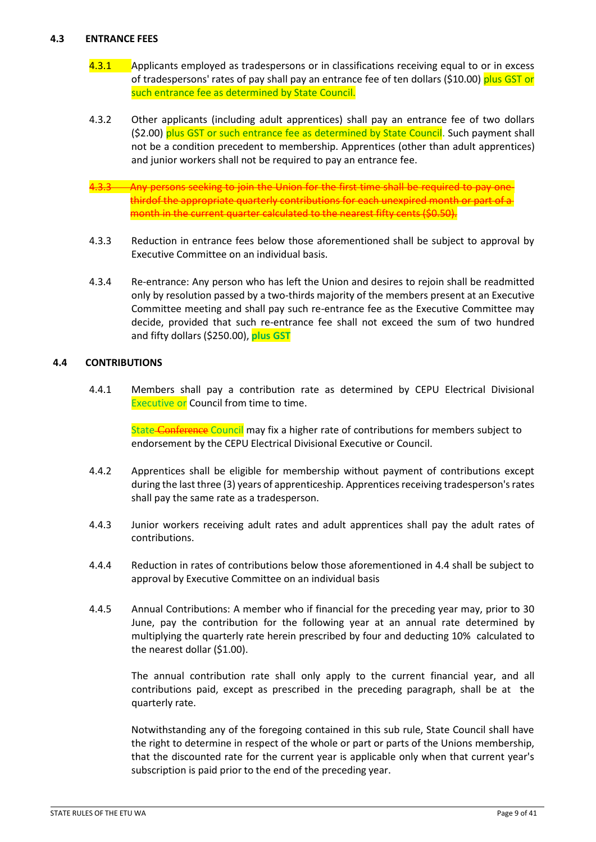### <span id="page-8-0"></span>**4.3 ENTRANCE FEES**

- 4.3.1 Applicants employed as tradespersons or in classifications receiving equal to or in excess of tradespersons' rates of pay shall pay an entrance fee of ten dollars (\$10.00) plus GST or such entrance fee as determined by State Council.
- 4.3.2 Other applicants (including adult apprentices) shall pay an entrance fee of two dollars (\$2.00) plus GST or such entrance fee as determined by State Council. Such payment shall not be a condition precedent to membership. Apprentices (other than adult apprentices) and junior workers shall not be required to pay an entrance fee.
- Any persons seeking to join the Union for the first time shall be required to pay thirdof the appropriate quarterly contributions for each unexpired month or part of month in the current quarter calculated to the nearest fifty cents (\$0.50).
- 4.3.3 Reduction in entrance fees below those aforementioned shall be subject to approval by Executive Committee on an individual basis.
- 4.3.4 Re-entrance: Any person who has left the Union and desires to rejoin shall be readmitted only by resolution passed by a two-thirds majority of the members present at an Executive Committee meeting and shall pay such re-entrance fee as the Executive Committee may decide, provided that such re-entrance fee shall not exceed the sum of two hundred and fifty dollars (\$250.00), **plus GST**

### <span id="page-8-1"></span>**4.4 CONTRIBUTIONS**

4.4.1 Members shall pay a contribution rate as determined by CEPU Electrical Divisional Executive or Council from time to time.

State Conference Council may fix a higher rate of contributions for members subject to endorsement by the CEPU Electrical Divisional Executive or Council.

- 4.4.2 Apprentices shall be eligible for membership without payment of contributions except during the last three (3) years of apprenticeship. Apprentices receiving tradesperson's rates shall pay the same rate as a tradesperson.
- 4.4.3 Junior workers receiving adult rates and adult apprentices shall pay the adult rates of contributions.
- 4.4.4 Reduction in rates of contributions below those aforementioned in 4.4 shall be subject to approval by Executive Committee on an individual basis
- 4.4.5 Annual Contributions: A member who if financial for the preceding year may, prior to 30 June, pay the contribution for the following year at an annual rate determined by multiplying the quarterly rate herein prescribed by four and deducting 10% calculated to the nearest dollar (\$1.00).

The annual contribution rate shall only apply to the current financial year, and all contributions paid, except as prescribed in the preceding paragraph, shall be at the quarterly rate.

Notwithstanding any of the foregoing contained in this sub rule, State Council shall have the right to determine in respect of the whole or part or parts of the Unions membership, that the discounted rate for the current year is applicable only when that current year's subscription is paid prior to the end of the preceding year.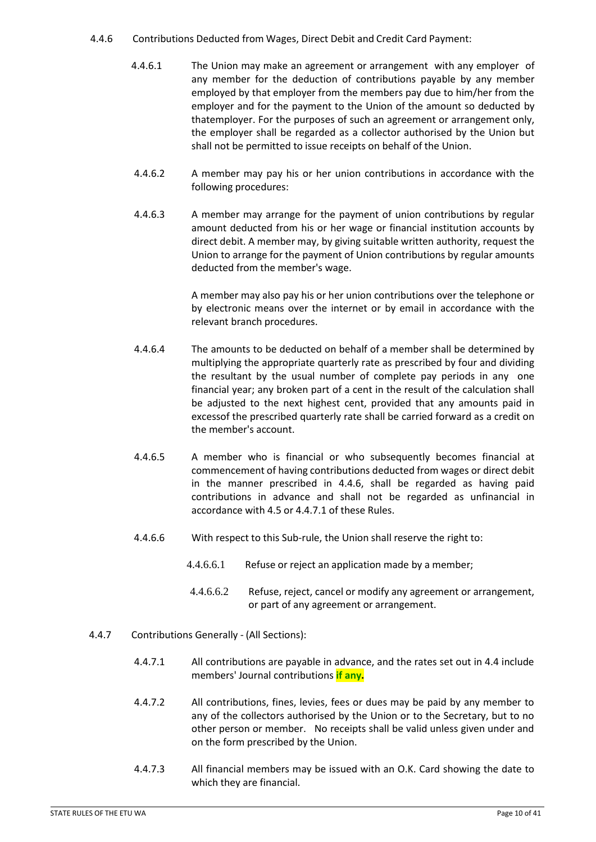#### 4.4.6 Contributions Deducted from Wages, Direct Debit and Credit Card Payment:

- 4.4.6.1 The Union may make an agreement or arrangement with any employer of any member for the deduction of contributions payable by any member employed by that employer from the members pay due to him/her from the employer and for the payment to the Union of the amount so deducted by thatemployer. For the purposes of such an agreement or arrangement only, the employer shall be regarded as a collector authorised by the Union but shall not be permitted to issue receipts on behalf of the Union.
- 4.4.6.2 A member may pay his or her union contributions in accordance with the following procedures:
- 4.4.6.3 A member may arrange for the payment of union contributions by regular amount deducted from his or her wage or financial institution accounts by direct debit. A member may, by giving suitable written authority, request the Union to arrange for the payment of Union contributions by regular amounts deducted from the member's wage.

A member may also pay his or her union contributions over the telephone or by electronic means over the internet or by email in accordance with the relevant branch procedures.

- 4.4.6.4 The amounts to be deducted on behalf of a member shall be determined by multiplying the appropriate quarterly rate as prescribed by four and dividing the resultant by the usual number of complete pay periods in any one financial year; any broken part of a cent in the result of the calculation shall be adjusted to the next highest cent, provided that any amounts paid in excessof the prescribed quarterly rate shall be carried forward as a credit on the member's account.
- 4.4.6.5 A member who is financial or who subsequently becomes financial at commencement of having contributions deducted from wages or direct debit in the manner prescribed in 4.4.6, shall be regarded as having paid contributions in advance and shall not be regarded as unfinancial in accordance with 4.5 or 4.4.7.1 of these Rules.
- 4.4.6.6 With respect to this Sub-rule, the Union shall reserve the right to:
	- 4.4.6.6.1 Refuse or reject an application made by a member;
	- 4.4.6.6.2 Refuse, reject, cancel or modify any agreement or arrangement, or part of any agreement or arrangement.
- 4.4.7 Contributions Generally (All Sections):
	- 4.4.7.1 All contributions are payable in advance, and the rates set out in 4.4 include members' Journal contributions **if any.**
	- 4.4.7.2 All contributions, fines, levies, fees or dues may be paid by any member to any of the collectors authorised by the Union or to the Secretary, but to no other person or member. No receipts shall be valid unless given under and on the form prescribed by the Union.
	- 4.4.7.3 All financial members may be issued with an O.K. Card showing the date to which they are financial.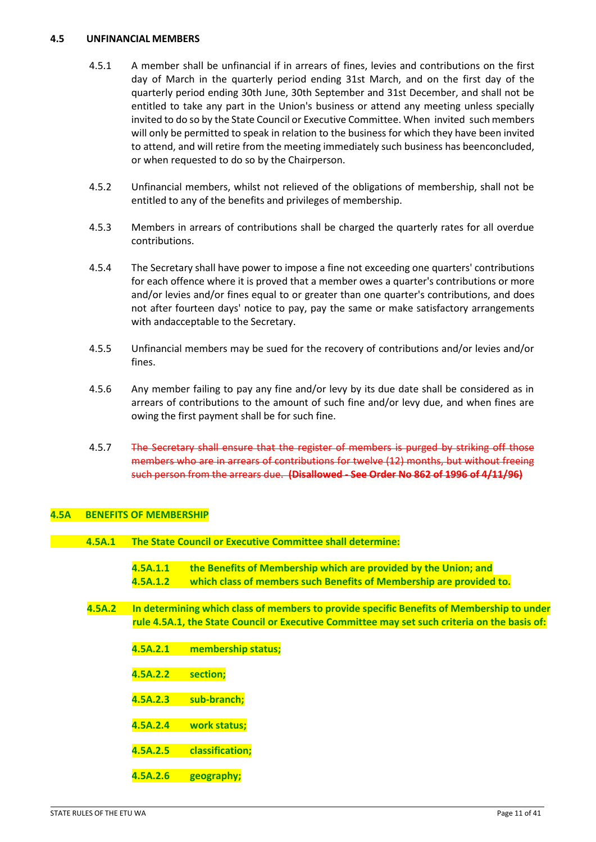#### <span id="page-10-0"></span>**4.5 UNFINANCIAL MEMBERS**

- 4.5.1 A member shall be unfinancial if in arrears of fines, levies and contributions on the first day of March in the quarterly period ending 31st March, and on the first day of the quarterly period ending 30th June, 30th September and 31st December, and shall not be entitled to take any part in the Union's business or attend any meeting unless specially invited to do so by the State Council or Executive Committee. When invited such members will only be permitted to speak in relation to the business for which they have been invited to attend, and will retire from the meeting immediately such business has beenconcluded, or when requested to do so by the Chairperson.
- 4.5.2 Unfinancial members, whilst not relieved of the obligations of membership, shall not be entitled to any of the benefits and privileges of membership.
- 4.5.3 Members in arrears of contributions shall be charged the quarterly rates for all overdue contributions.
- 4.5.4 The Secretary shall have power to impose a fine not exceeding one quarters' contributions for each offence where it is proved that a member owes a quarter's contributions or more and/or levies and/or fines equal to or greater than one quarter's contributions, and does not after fourteen days' notice to pay, pay the same or make satisfactory arrangements with andacceptable to the Secretary.
- 4.5.5 Unfinancial members may be sued for the recovery of contributions and/or levies and/or fines.
- 4.5.6 Any member failing to pay any fine and/or levy by its due date shall be considered as in arrears of contributions to the amount of such fine and/or levy due, and when fines are owing the first payment shall be for such fine.
- 4.5.7 The Secretary shall ensure that the register of members is purged by striking off those members who are in arrears of contributions for twelve (12) months, but without freeing such person from the arrears due. **(Disallowed - See Order No 862 of 1996 of 4/11/96)**

#### <span id="page-10-1"></span>**4.5A BENEFITS OF MEMBERSHIP**

- **4.5A.1 The State Council or Executive Committee shall determine:**
	- **4.5A.1.1 the Benefits of Membership which are provided by the Union; and 4.5A.1.2 which class of members such Benefits of Membership are provided to.**
- **4.5A.2 In determining which class of members to provide specific Benefits of Membership to under rule 4.5A.1, the State Council or Executive Committee may set such criteria on the basis of:**
	- **4.5A.2.1 membership status;**
	- **4.5A.2.2 section;**
	- **4.5A.2.3 sub-branch;**
	- **4.5A.2.4 work status;**
	- **4.5A.2.5 classification;**
	- **4.5A.2.6 geography;**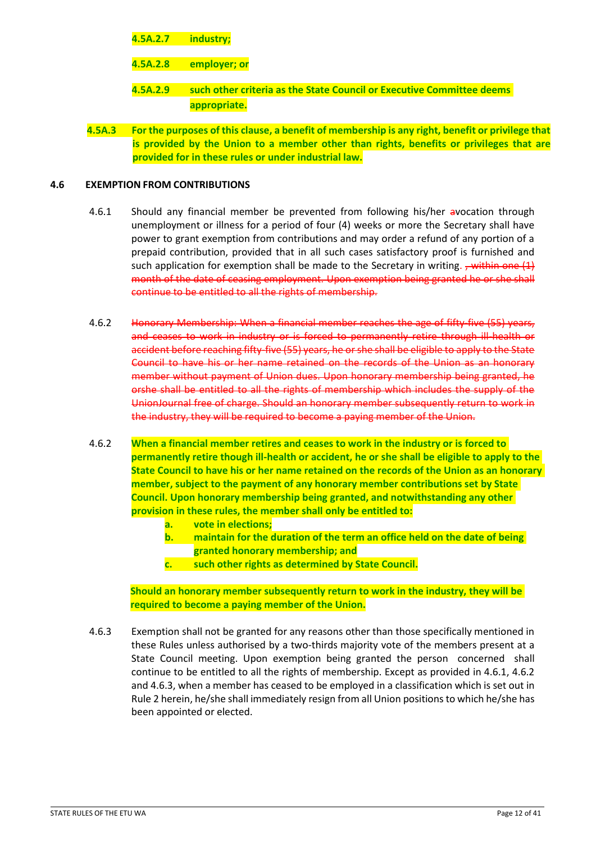# **4.5A.2.7 industry;**

- **4.5A.2.8 employer; or**
- **4.5A.2.9 such other criteria as the State Council or Executive Committee deems appropriate.**
- **4.5A.3 For the purposes of this clause, a benefit of membership is any right, benefit or privilege that is provided by the Union to a member other than rights, benefits or privileges that are provided for in these rules or under industrial law.**

### <span id="page-11-0"></span>**4.6 EXEMPTION FROM CONTRIBUTIONS**

- 4.6.1 Should any financial member be prevented from following his/her avocation through unemployment or illness for a period of four (4) weeks or more the Secretary shall have power to grant exemption from contributions and may order a refund of any portion of a prepaid contribution, provided that in all such cases satisfactory proof is furnished and such application for exemption shall be made to the Secretary in writing.  $\frac{1}{2}$  within one (1) month of the date of ceasing employment. Upon exemption being granted he or she shall continue to be entitled to all the rights of membership.
- 4.6.2 Honorary Membership: When a financial member reaches the age of fifty-five (55) years, and ceases to work in industry or is forced to permanently retire through ill health or accident before reaching fifty-five (55) years, he or she shall be eligible to apply to the State Council to have his or her name retained on the records of the Union as an honorary member without payment of Union dues. Upon honorary membership being granted, he orshe shall be entitled to all the rights of membership which includes the supply of the UnionJournal free of charge. Should an honorary member subsequently return to work in the industry, they will be required to become a paying member of the Union.
- 4.6.2 **When a financial member retires and ceases to work in the industry or is forced to permanently retire though ill-health or accident, he or she shall be eligible to apply to the State Council to have his or her name retained on the records of the Union as an honorary member, subject to the payment of any honorary member contributions set by State Council. Upon honorary membership being granted, and notwithstanding any other provision in these rules, the member shall only be entitled to:**
	- **a. vote in elections;**
	- **b. maintain for the duration of the term an office held on the date of being granted honorary membership; and**
	- **c. such other rights as determined by State Council.**

**Should an honorary member subsequently return to work in the industry, they will be required to become a paying member of the Union.**

4.6.3 Exemption shall not be granted for any reasons other than those specifically mentioned in these Rules unless authorised by a two-thirds majority vote of the members present at a State Council meeting. Upon exemption being granted the person concerned shall continue to be entitled to all the rights of membership. Except as provided in 4.6.1, 4.6.2 and 4.6.3, when a member has ceased to be employed in a classification which is set out in Rule 2 herein, he/she shall immediately resign from all Union positions to which he/she has been appointed or elected.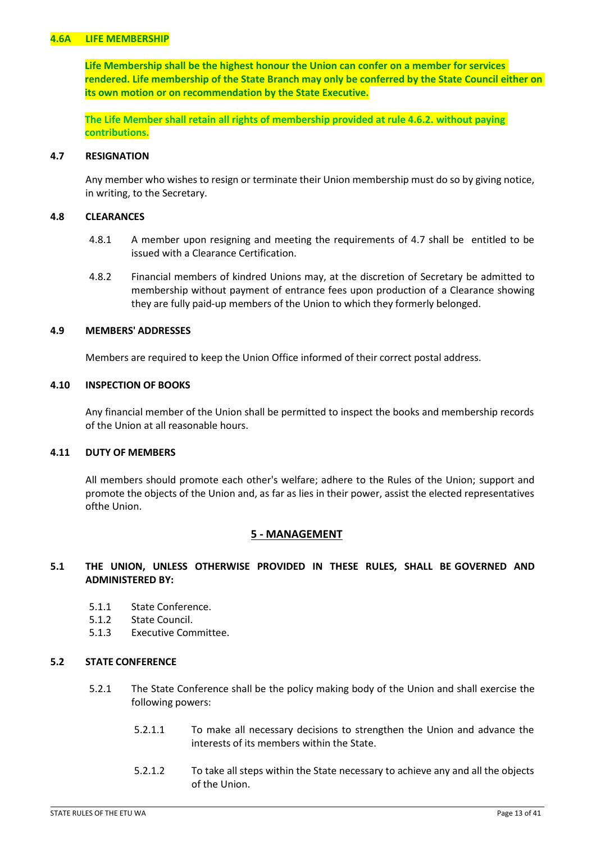### <span id="page-12-0"></span>**4.6A LIFE MEMBERSHIP**

**Life Membership shall be the highest honour the Union can confer on a member for services rendered. Life membership of the State Branch may only be conferred by the State Council either on its own motion or on recommendation by the State Executive.**

**The Life Member shall retain all rights of membership provided at rule 4.6.2. without paying contributions.**

#### <span id="page-12-1"></span>**4.7 RESIGNATION**

Any member who wishes to resign or terminate their Union membership must do so by giving notice, in writing, to the Secretary.

#### <span id="page-12-2"></span>**4.8 CLEARANCES**

- 4.8.1 A member upon resigning and meeting the requirements of 4.7 shall be entitled to be issued with a Clearance Certification.
- 4.8.2 Financial members of kindred Unions may, at the discretion of Secretary be admitted to membership without payment of entrance fees upon production of a Clearance showing they are fully paid-up members of the Union to which they formerly belonged.

#### <span id="page-12-3"></span>**4.9 MEMBERS' ADDRESSES**

Members are required to keep the Union Office informed of their correct postal address.

#### <span id="page-12-4"></span>**4.10 INSPECTION OF BOOKS**

Any financial member of the Union shall be permitted to inspect the books and membership records of the Union at all reasonable hours.

#### <span id="page-12-5"></span>**4.11 DUTY OF MEMBERS**

All members should promote each other's welfare; adhere to the Rules of the Union; support and promote the objects of the Union and, as far as lies in their power, assist the elected representatives ofthe Union.

#### **5 - MANAGEMENT**

#### <span id="page-12-6"></span>**5.1 THE UNION, UNLESS OTHERWISE PROVIDED IN THESE RULES, SHALL BE GOVERNED AND ADMINISTERED BY:**

- 5.1.1 State Conference.
- 5.1.2 State Council.
- 5.1.3 Executive Committee.

#### **5.2 STATE CONFERENCE**

- 5.2.1 The State Conference shall be the policy making body of the Union and shall exercise the following powers:
	- 5.2.1.1 To make all necessary decisions to strengthen the Union and advance the interests of its members within the State.
	- 5.2.1.2 To take all steps within the State necessary to achieve any and all the objects of the Union.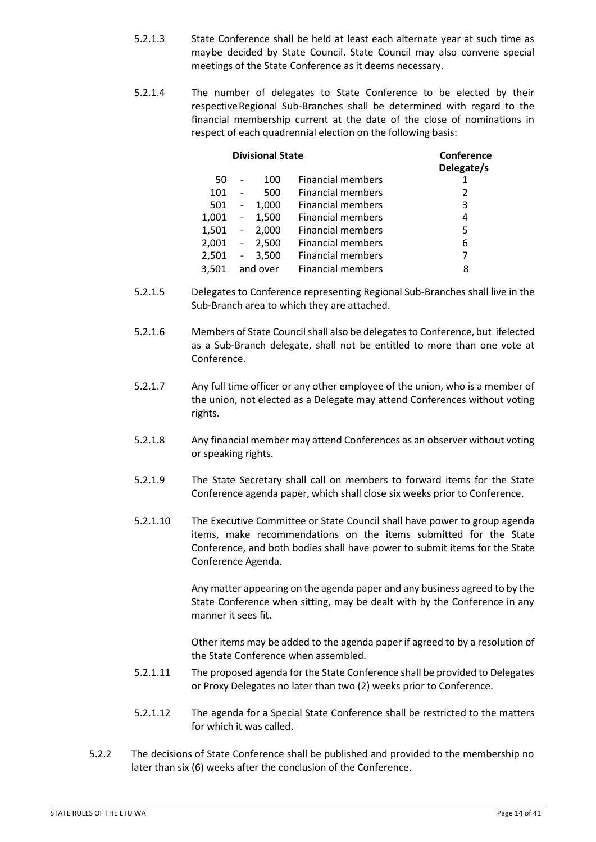- 5.2.1.3 State Conference shall be held at least each alternate year at such time as maybe decided by State Council. State Council may also convene special meetings of the State Conference as it deems necessary.
- 5.2.1.4 The number of delegates to State Conference to be elected by their respectiveRegional Sub-Branches shall be determined with regard to the financial membership current at the date of the close of nominations in respect of each quadrennial election on the following basis:

| <b>Divisional State</b> |                          |       |                          | Conference<br>Delegate/s |  |
|-------------------------|--------------------------|-------|--------------------------|--------------------------|--|
| 50                      |                          | 100   | <b>Financial members</b> |                          |  |
| 101                     |                          | 500   | <b>Financial members</b> | 2                        |  |
| 501                     | $\overline{\phantom{a}}$ | 1,000 | <b>Financial members</b> | 3                        |  |
| 1,001                   | $\blacksquare$           | 1,500 | <b>Financial members</b> | 4                        |  |
| 1,501                   | $\overline{\phantom{a}}$ | 2,000 | <b>Financial members</b> | 5                        |  |
| 2,001                   | $\blacksquare$           | 2,500 | <b>Financial members</b> | 6                        |  |
| 2,501                   | $\sim$                   | 3,500 | <b>Financial members</b> | 7                        |  |
| 3,501                   | and over                 |       | <b>Financial members</b> | 8                        |  |

- 5.2.1.5 Delegates to Conference representing Regional Sub-Branches shall live in the Sub-Branch area to which they are attached.
- 5.2.1.6 Members of State Councilshall also be delegatesto Conference, but ifelected as a Sub-Branch delegate, shall not be entitled to more than one vote at Conference.
- 5.2.1.7 Any full time officer or any other employee of the union, who is a member of the union, not elected as a Delegate may attend Conferences without voting rights.
- 5.2.1.8 Any financial member may attend Conferences as an observer without voting or speaking rights.
- 5.2.1.9 The State Secretary shall call on members to forward items for the State Conference agenda paper, which shall close six weeks prior to Conference.
- 5.2.1.10 The Executive Committee or State Council shall have power to group agenda items, make recommendations on the items submitted for the State Conference, and both bodies shall have power to submit items for the State Conference Agenda.

Any matter appearing on the agenda paper and any business agreed to by the State Conference when sitting, may be dealt with by the Conference in any manner it sees fit.

Other items may be added to the agenda paper if agreed to by a resolution of the State Conference when assembled.

- 5.2.1.11 The proposed agenda for the State Conference shall be provided to Delegates or Proxy Delegates no later than two (2) weeks prior to Conference.
- 5.2.1.12 The agenda for a Special State Conference shall be restricted to the matters for which it was called.
- 5.2.2 The decisions of State Conference shall be published and provided to the membership no later than six (6) weeks after the conclusion of the Conference.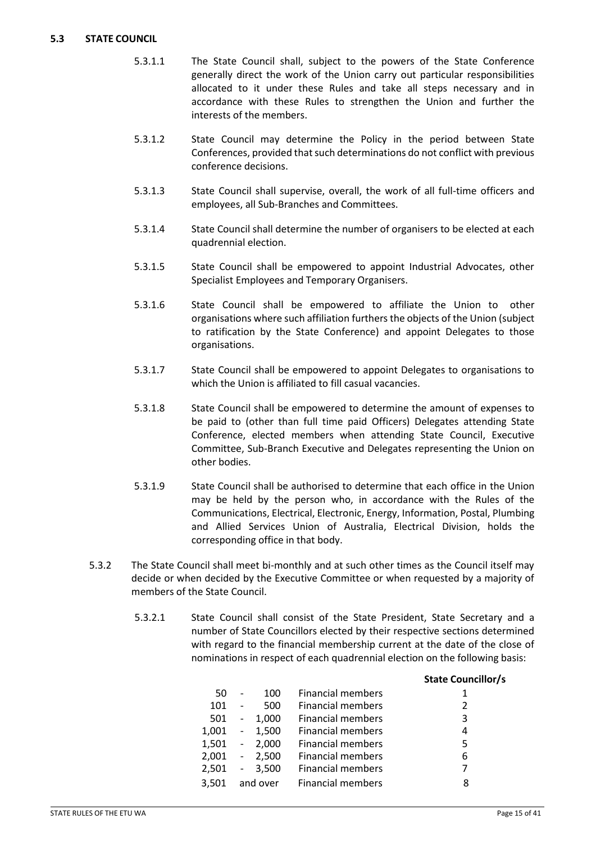### <span id="page-14-0"></span>**5.3 STATE COUNCIL**

- 5.3.1.1 The State Council shall, subject to the powers of the State Conference generally direct the work of the Union carry out particular responsibilities allocated to it under these Rules and take all steps necessary and in accordance with these Rules to strengthen the Union and further the interests of the members.
- 5.3.1.2 State Council may determine the Policy in the period between State Conferences, provided that such determinations do not conflict with previous conference decisions.
- 5.3.1.3 State Council shall supervise, overall, the work of all full-time officers and employees, all Sub-Branches and Committees.
- 5.3.1.4 State Council shall determine the number of organisers to be elected at each quadrennial election.
- 5.3.1.5 State Council shall be empowered to appoint Industrial Advocates, other Specialist Employees and Temporary Organisers.
- 5.3.1.6 State Council shall be empowered to affiliate the Union to other organisations where such affiliation furthers the objects of the Union (subject to ratification by the State Conference) and appoint Delegates to those organisations.
- 5.3.1.7 State Council shall be empowered to appoint Delegates to organisations to which the Union is affiliated to fill casual vacancies.
- 5.3.1.8 State Council shall be empowered to determine the amount of expenses to be paid to (other than full time paid Officers) Delegates attending State Conference, elected members when attending State Council, Executive Committee, Sub-Branch Executive and Delegates representing the Union on other bodies.
- 5.3.1.9 State Council shall be authorised to determine that each office in the Union may be held by the person who, in accordance with the Rules of the Communications, Electrical, Electronic, Energy, Information, Postal, Plumbing and Allied Services Union of Australia, Electrical Division, holds the corresponding office in that body.
- 5.3.2 The State Council shall meet bi-monthly and at such other times as the Council itself may decide or when decided by the Executive Committee or when requested by a majority of members of the State Council.
	- 5.3.2.1 State Council shall consist of the State President, State Secretary and a number of State Councillors elected by their respective sections determined with regard to the financial membership current at the date of the close of nominations in respect of each quadrennial election on the following basis:

|                              |       |                          | <b>State Councillor/s</b> |
|------------------------------|-------|--------------------------|---------------------------|
|                              | 100   | <b>Financial members</b> | 1                         |
|                              | 500   | <b>Financial members</b> | 2                         |
| $\overline{\phantom{a}}$     | 1,000 | <b>Financial members</b> | 3                         |
| $\overline{\phantom{a}}$     | 1,500 | <b>Financial members</b> | 4                         |
| $\qquad \qquad \blacksquare$ | 2,000 | <b>Financial members</b> | 5                         |
| $\overline{\phantom{a}}$     | 2,500 | <b>Financial members</b> | 6                         |
|                              | 3,500 | <b>Financial members</b> | 7                         |
|                              |       | <b>Financial members</b> | 8                         |
|                              |       | $\sim$<br>and over       |                           |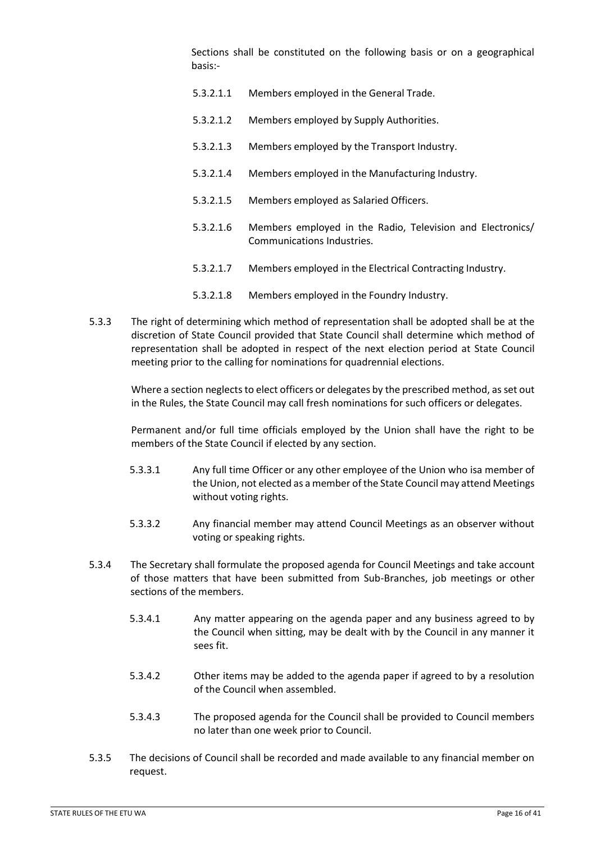Sections shall be constituted on the following basis or on a geographical basis:-

- 5.3.2.1.1 Members employed in the General Trade.
- 5.3.2.1.2 Members employed by Supply Authorities.
- 5.3.2.1.3 Members employed by the Transport Industry.
- 5.3.2.1.4 Members employed in the Manufacturing Industry.
- 5.3.2.1.5 Members employed as Salaried Officers.
- 5.3.2.1.6 Members employed in the Radio, Television and Electronics/ Communications Industries.
- 5.3.2.1.7 Members employed in the Electrical Contracting Industry.
- 5.3.2.1.8 Members employed in the Foundry Industry.
- 5.3.3 The right of determining which method of representation shall be adopted shall be at the discretion of State Council provided that State Council shall determine which method of representation shall be adopted in respect of the next election period at State Council meeting prior to the calling for nominations for quadrennial elections.

Where a section neglects to elect officers or delegates by the prescribed method, as set out in the Rules, the State Council may call fresh nominations for such officers or delegates.

Permanent and/or full time officials employed by the Union shall have the right to be members of the State Council if elected by any section.

- 5.3.3.1 Any full time Officer or any other employee of the Union who isa member of the Union, not elected as a member of the State Council may attend Meetings without voting rights.
- 5.3.3.2 Any financial member may attend Council Meetings as an observer without voting or speaking rights.
- 5.3.4 The Secretary shall formulate the proposed agenda for Council Meetings and take account of those matters that have been submitted from Sub-Branches, job meetings or other sections of the members.
	- 5.3.4.1 Any matter appearing on the agenda paper and any business agreed to by the Council when sitting, may be dealt with by the Council in any manner it sees fit.
	- 5.3.4.2 Other items may be added to the agenda paper if agreed to by a resolution of the Council when assembled.
	- 5.3.4.3 The proposed agenda for the Council shall be provided to Council members no later than one week prior to Council.
- 5.3.5 The decisions of Council shall be recorded and made available to any financial member on request.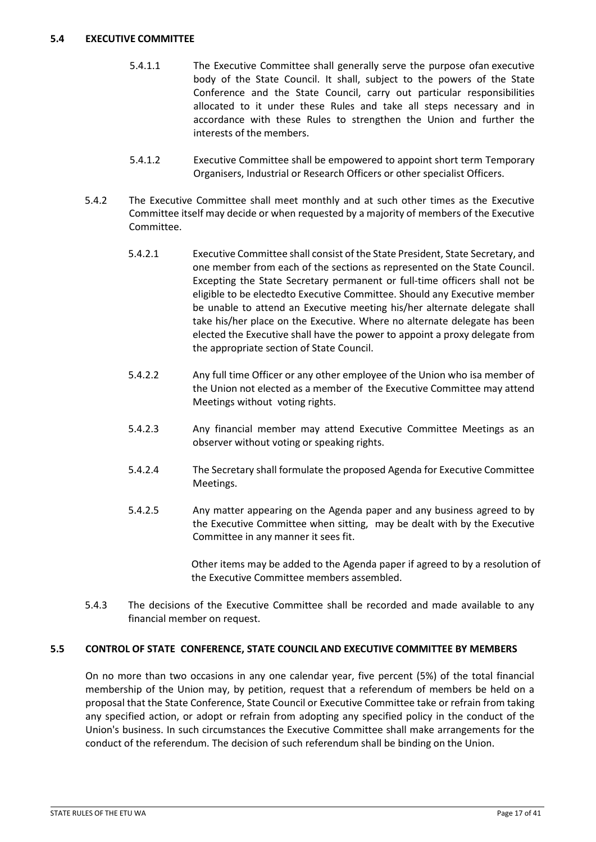#### <span id="page-16-0"></span>**5.4 EXECUTIVE COMMITTEE**

- 5.4.1.1 The Executive Committee shall generally serve the purpose ofan executive body of the State Council. It shall, subject to the powers of the State Conference and the State Council, carry out particular responsibilities allocated to it under these Rules and take all steps necessary and in accordance with these Rules to strengthen the Union and further the interests of the members.
- 5.4.1.2 Executive Committee shall be empowered to appoint short term Temporary Organisers, Industrial or Research Officers or other specialist Officers.
- 5.4.2 The Executive Committee shall meet monthly and at such other times as the Executive Committee itself may decide or when requested by a majority of members of the Executive Committee.
	- 5.4.2.1 Executive Committee shall consist of the State President, State Secretary, and one member from each of the sections as represented on the State Council. Excepting the State Secretary permanent or full-time officers shall not be eligible to be electedto Executive Committee. Should any Executive member be unable to attend an Executive meeting his/her alternate delegate shall take his/her place on the Executive. Where no alternate delegate has been elected the Executive shall have the power to appoint a proxy delegate from the appropriate section of State Council.
	- 5.4.2.2 Any full time Officer or any other employee of the Union who isa member of the Union not elected as a member of the Executive Committee may attend Meetings without voting rights.
	- 5.4.2.3 Any financial member may attend Executive Committee Meetings as an observer without voting or speaking rights.
	- 5.4.2.4 The Secretary shall formulate the proposed Agenda for Executive Committee Meetings.
	- 5.4.2.5 Any matter appearing on the Agenda paper and any business agreed to by the Executive Committee when sitting, may be dealt with by the Executive Committee in any manner it sees fit.

Other items may be added to the Agenda paper if agreed to by a resolution of the Executive Committee members assembled.

5.4.3 The decisions of the Executive Committee shall be recorded and made available to any financial member on request.

# <span id="page-16-1"></span>**5.5 CONTROL OF STATE CONFERENCE, STATE COUNCIL AND EXECUTIVE COMMITTEE BY MEMBERS**

On no more than two occasions in any one calendar year, five percent (5%) of the total financial membership of the Union may, by petition, request that a referendum of members be held on a proposal that the State Conference, State Council or Executive Committee take or refrain from taking any specified action, or adopt or refrain from adopting any specified policy in the conduct of the Union's business. In such circumstances the Executive Committee shall make arrangements for the conduct of the referendum. The decision of such referendum shall be binding on the Union.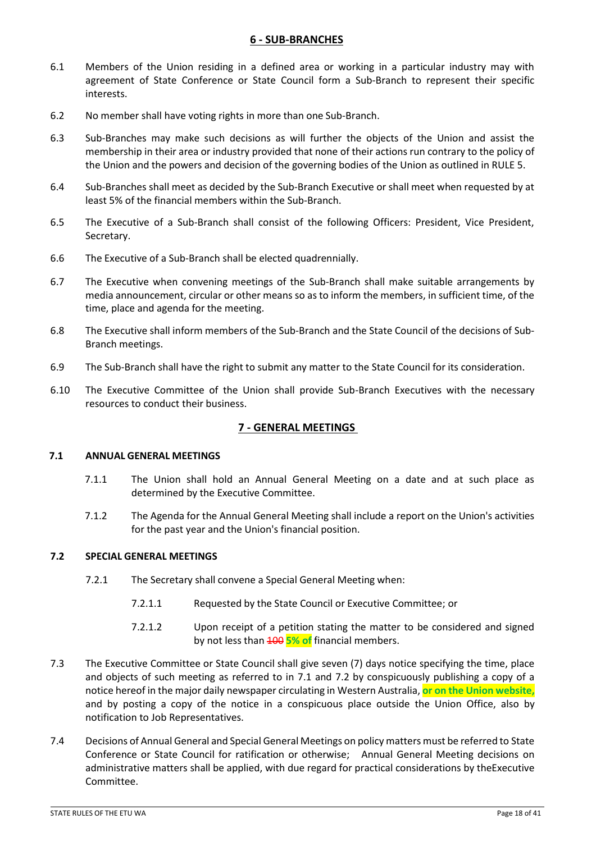### **6 - SUB-BRANCHES**

- <span id="page-17-0"></span>6.1 Members of the Union residing in a defined area or working in a particular industry may with agreement of State Conference or State Council form a Sub-Branch to represent their specific interests.
- 6.2 No member shall have voting rights in more than one Sub-Branch.
- 6.3 Sub-Branches may make such decisions as will further the objects of the Union and assist the membership in their area or industry provided that none of their actions run contrary to the policy of the Union and the powers and decision of the governing bodies of the Union as outlined in RULE 5.
- 6.4 Sub-Branches shall meet as decided by the Sub-Branch Executive or shall meet when requested by at least 5% of the financial members within the Sub-Branch.
- 6.5 The Executive of a Sub-Branch shall consist of the following Officers: President, Vice President, Secretary.
- 6.6 The Executive of a Sub-Branch shall be elected quadrennially.
- 6.7 The Executive when convening meetings of the Sub-Branch shall make suitable arrangements by media announcement, circular or other means so as to inform the members, in sufficient time, of the time, place and agenda for the meeting.
- 6.8 The Executive shall inform members of the Sub-Branch and the State Council of the decisions of Sub-Branch meetings.
- 6.9 The Sub-Branch shall have the right to submit any matter to the State Council for its consideration.
- 6.10 The Executive Committee of the Union shall provide Sub-Branch Executives with the necessary resources to conduct their business.

# **7 - GENERAL MEETINGS**

#### <span id="page-17-2"></span><span id="page-17-1"></span>**7.1 ANNUAL GENERAL MEETINGS**

- 7.1.1 The Union shall hold an Annual General Meeting on a date and at such place as determined by the Executive Committee.
- 7.1.2 The Agenda for the Annual General Meeting shall include a report on the Union's activities for the past year and the Union's financial position.

#### <span id="page-17-3"></span>**7.2 SPECIAL GENERAL MEETINGS**

- 7.2.1 The Secretary shall convene a Special General Meeting when:
	- 7.2.1.1 Requested by the State Council or Executive Committee; or
	- 7.2.1.2 Upon receipt of a petition stating the matter to be considered and signed by not less than 100 **5% of** financial members.
- 7.3 The Executive Committee or State Council shall give seven (7) days notice specifying the time, place and objects of such meeting as referred to in 7.1 and 7.2 by conspicuously publishing a copy of a notice hereof in the major daily newspaper circulating in Western Australia, **or on the Union website,**  and by posting a copy of the notice in a conspicuous place outside the Union Office, also by notification to Job Representatives.
- 7.4 Decisions of Annual General and Special General Meetings on policy matters must be referred to State Conference or State Council for ratification or otherwise; Annual General Meeting decisions on administrative matters shall be applied, with due regard for practical considerations by theExecutive Committee.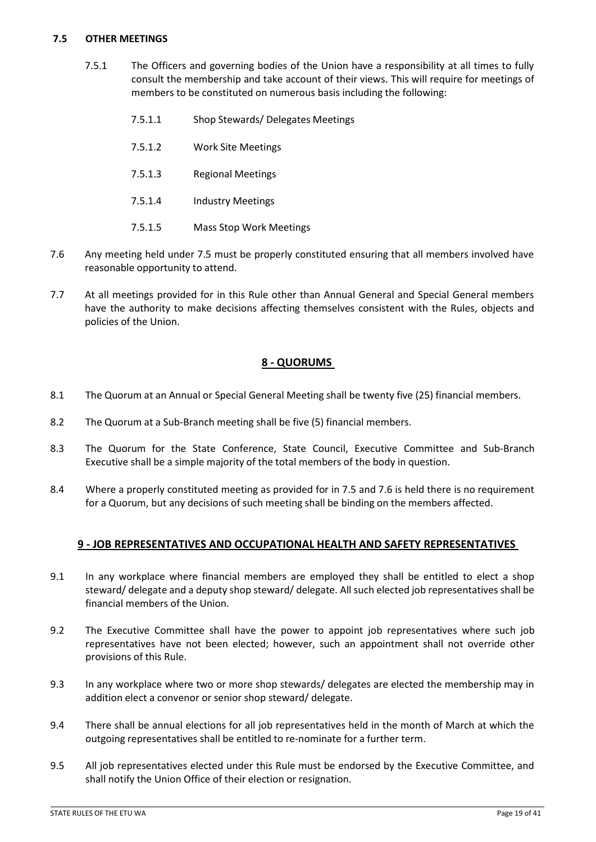### <span id="page-18-0"></span>**7.5 OTHER MEETINGS**

- 7.5.1 The Officers and governing bodies of the Union have a responsibility at all times to fully consult the membership and take account of their views. This will require for meetings of members to be constituted on numerous basis including the following:
	- 7.5.1.1 Shop Stewards/ Delegates Meetings
	- 7.5.1.2 Work Site Meetings
	- 7.5.1.3 Regional Meetings
	- 7.5.1.4 Industry Meetings
	- 7.5.1.5 Mass Stop Work Meetings
- 7.6 Any meeting held under 7.5 must be properly constituted ensuring that all members involved have reasonable opportunity to attend.
- 7.7 At all meetings provided for in this Rule other than Annual General and Special General members have the authority to make decisions affecting themselves consistent with the Rules, objects and policies of the Union.

# **8 - QUORUMS**

- <span id="page-18-1"></span>8.1 The Quorum at an Annual or Special General Meeting shall be twenty five (25) financial members.
- 8.2 The Quorum at a Sub-Branch meeting shall be five (5) financial members.
- 8.3 The Quorum for the State Conference, State Council, Executive Committee and Sub-Branch Executive shall be a simple majority of the total members of the body in question.
- 8.4 Where a properly constituted meeting as provided for in 7.5 and 7.6 is held there is no requirement for a Quorum, but any decisions of such meeting shall be binding on the members affected.

# **9 - JOB REPRESENTATIVES AND OCCUPATIONAL HEALTH AND SAFETY REPRESENTATIVES**

- <span id="page-18-2"></span>9.1 In any workplace where financial members are employed they shall be entitled to elect a shop steward/ delegate and a deputy shop steward/ delegate. All such elected job representatives shall be financial members of the Union.
- 9.2 The Executive Committee shall have the power to appoint job representatives where such job representatives have not been elected; however, such an appointment shall not override other provisions of this Rule.
- 9.3 In any workplace where two or more shop stewards/ delegates are elected the membership may in addition elect a convenor or senior shop steward/ delegate.
- 9.4 There shall be annual elections for all job representatives held in the month of March at which the outgoing representatives shall be entitled to re-nominate for a further term.
- 9.5 All job representatives elected under this Rule must be endorsed by the Executive Committee, and shall notify the Union Office of their election or resignation.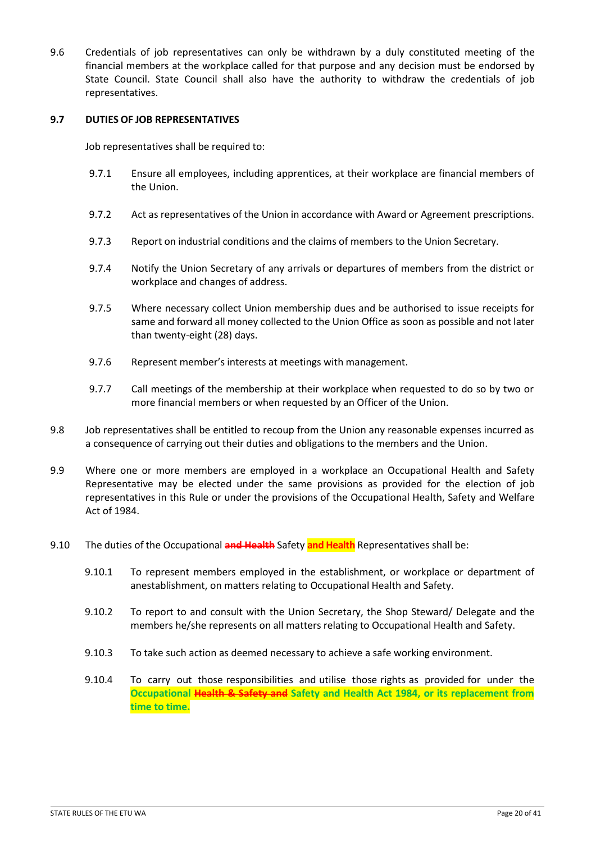9.6 Credentials of job representatives can only be withdrawn by a duly constituted meeting of the financial members at the workplace called for that purpose and any decision must be endorsed by State Council. State Council shall also have the authority to withdraw the credentials of job representatives.

#### <span id="page-19-0"></span>**9.7 DUTIES OF JOB REPRESENTATIVES**

Job representatives shall be required to:

- 9.7.1 Ensure all employees, including apprentices, at their workplace are financial members of the Union.
- 9.7.2 Act as representatives of the Union in accordance with Award or Agreement prescriptions.
- 9.7.3 Report on industrial conditions and the claims of members to the Union Secretary.
- 9.7.4 Notify the Union Secretary of any arrivals or departures of members from the district or workplace and changes of address.
- 9.7.5 Where necessary collect Union membership dues and be authorised to issue receipts for same and forward all money collected to the Union Office as soon as possible and not later than twenty-eight (28) days.
- 9.7.6 Represent member's interests at meetings with management.
- 9.7.7 Call meetings of the membership at their workplace when requested to do so by two or more financial members or when requested by an Officer of the Union.
- 9.8 Job representatives shall be entitled to recoup from the Union any reasonable expenses incurred as a consequence of carrying out their duties and obligations to the members and the Union.
- 9.9 Where one or more members are employed in a workplace an Occupational Health and Safety Representative may be elected under the same provisions as provided for the election of job representatives in this Rule or under the provisions of the Occupational Health, Safety and Welfare Act of 1984.
- 9.10 The duties of the Occupational **and Health** Safety **and Health** Representatives shall be:
	- 9.10.1 To represent members employed in the establishment, or workplace or department of anestablishment, on matters relating to Occupational Health and Safety.
	- 9.10.2 To report to and consult with the Union Secretary, the Shop Steward/ Delegate and the members he/she represents on all matters relating to Occupational Health and Safety.
	- 9.10.3 To take such action as deemed necessary to achieve a safe working environment.
	- 9.10.4 To carry out those responsibilities and utilise those rights as provided for under the **Occupational Health & Safety and Safety and Health Act 1984, or its replacement from time to time.**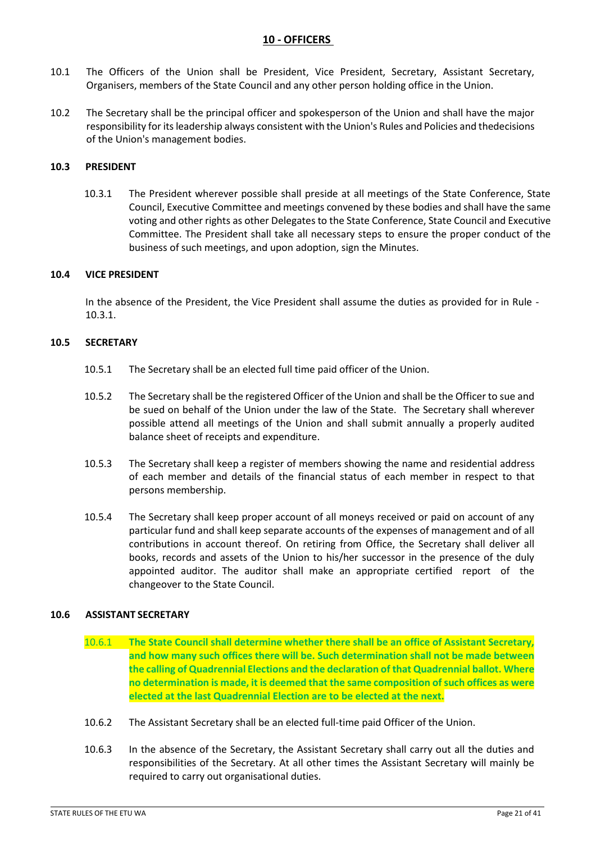# **10 - OFFICERS**

- <span id="page-20-0"></span>10.1 The Officers of the Union shall be President, Vice President, Secretary, Assistant Secretary, Organisers, members of the State Council and any other person holding office in the Union.
- 10.2 The Secretary shall be the principal officer and spokesperson of the Union and shall have the major responsibility for itsleadership always consistent with the Union's Rules and Policies and thedecisions of the Union's management bodies.

### <span id="page-20-1"></span>**10.3 PRESIDENT**

10.3.1 The President wherever possible shall preside at all meetings of the State Conference, State Council, Executive Committee and meetings convened by these bodies and shall have the same voting and other rights as other Delegates to the State Conference, State Council and Executive Committee. The President shall take all necessary steps to ensure the proper conduct of the business of such meetings, and upon adoption, sign the Minutes.

#### <span id="page-20-2"></span>**10.4 VICE PRESIDENT**

In the absence of the President, the Vice President shall assume the duties as provided for in Rule - 10.3.1.

#### <span id="page-20-3"></span>**10.5 SECRETARY**

- 10.5.1 The Secretary shall be an elected full time paid officer of the Union.
- 10.5.2 The Secretary shall be the registered Officer of the Union and shall be the Officer to sue and be sued on behalf of the Union under the law of the State. The Secretary shall wherever possible attend all meetings of the Union and shall submit annually a properly audited balance sheet of receipts and expenditure.
- 10.5.3 The Secretary shall keep a register of members showing the name and residential address of each member and details of the financial status of each member in respect to that persons membership.
- 10.5.4 The Secretary shall keep proper account of all moneys received or paid on account of any particular fund and shall keep separate accounts of the expenses of management and of all contributions in account thereof. On retiring from Office, the Secretary shall deliver all books, records and assets of the Union to his/her successor in the presence of the duly appointed auditor. The auditor shall make an appropriate certified report of the changeover to the State Council.

#### <span id="page-20-4"></span>**10.6 ASSISTANT SECRETARY**

- 10.6.1 **The State Council shall determine whether there shall be an office of Assistant Secretary, and how many such offices there will be. Such determination shall not be made between the calling of Quadrennial Elections and the declaration of that Quadrennial ballot. Where no determination is made, it is deemed that the same composition of such offices as were elected at the last Quadrennial Election are to be elected at the next.**
- 10.6.2 The Assistant Secretary shall be an elected full-time paid Officer of the Union.
- 10.6.3 In the absence of the Secretary, the Assistant Secretary shall carry out all the duties and responsibilities of the Secretary. At all other times the Assistant Secretary will mainly be required to carry out organisational duties.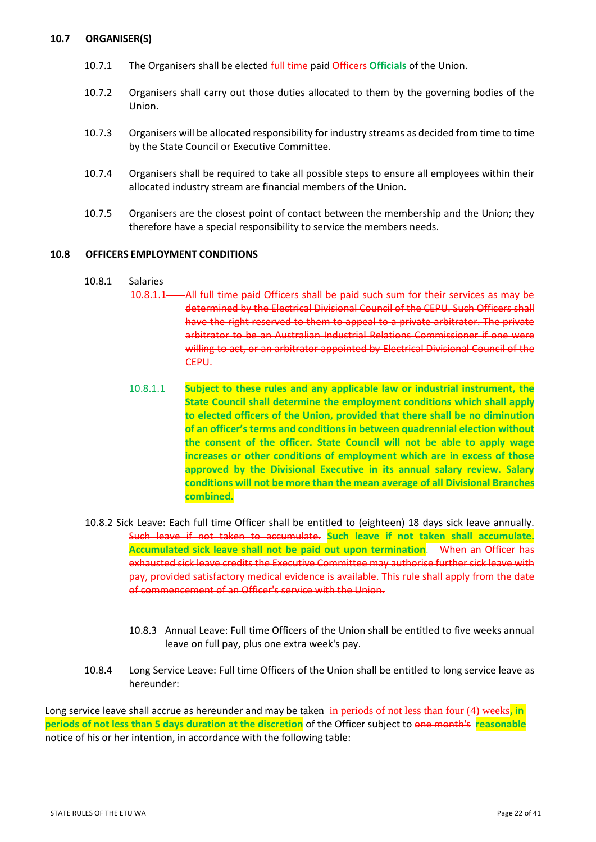### <span id="page-21-0"></span>**10.7 ORGANISER(S)**

- 10.7.1 The Organisers shall be elected full time paid Officers **Officials** of the Union.
- 10.7.2 Organisers shall carry out those duties allocated to them by the governing bodies of the Union.
- 10.7.3 Organisers will be allocated responsibility for industry streams as decided from time to time by the State Council or Executive Committee.
- 10.7.4 Organisers shall be required to take all possible steps to ensure all employees within their allocated industry stream are financial members of the Union.
- 10.7.5 Organisers are the closest point of contact between the membership and the Union; they therefore have a special responsibility to service the members needs.

#### <span id="page-21-1"></span>**10.8 OFFICERS EMPLOYMENT CONDITIONS**

#### 10.8.1 Salaries

- 10.8.1.1 All full time paid Officers shall be paid such sum for their services as may be determined by the Electrical Divisional Council of the CEPU. Such Officers shall have the right reserved to them to appeal to a private arbitrator. The private arbitrator to be an Australian Industrial Relations Commissioner if one were willing to act, or an arbitrator appointed by Electrical Divisional Council of the CEPU.
- 10.8.1.1 **Subject to these rules and any applicable law or industrial instrument, the State Council shall determine the employment conditions which shall apply to elected officers of the Union, provided that there shall be no diminution of an officer's terms and conditions in between quadrennial election without the consent of the officer. State Council will not be able to apply wage increases or other conditions of employment which are in excess of those approved by the Divisional Executive in its annual salary review. Salary conditions will not be more than the mean average of all Divisional Branches combined.**
- 10.8.2 Sick Leave: Each full time Officer shall be entitled to (eighteen) 18 days sick leave annually. Such leave if not taken to accumulate. **Such leave if not taken shall accumulate. Accumulated sick leave shall not be paid out upon termination**. When an Officer has exhausted sick leave credits the Executive Committee may authorise further sick leave with pay, provided satisfactory medical evidence is available. This rule shall apply from the date of commencement of an Officer's service with the Union.
	- 10.8.3 Annual Leave: Full time Officers of the Union shall be entitled to five weeks annual leave on full pay, plus one extra week's pay.
- 10.8.4 Long Service Leave: Full time Officers of the Union shall be entitled to long service leave as hereunder:

Long service leave shall accrue as hereunder and may be taken in periods of not less than four (4) weeks, in **periods of not less than 5 days duration at the discretion** of the Officer subject to one month's **reasonable** notice of his or her intention, in accordance with the following table: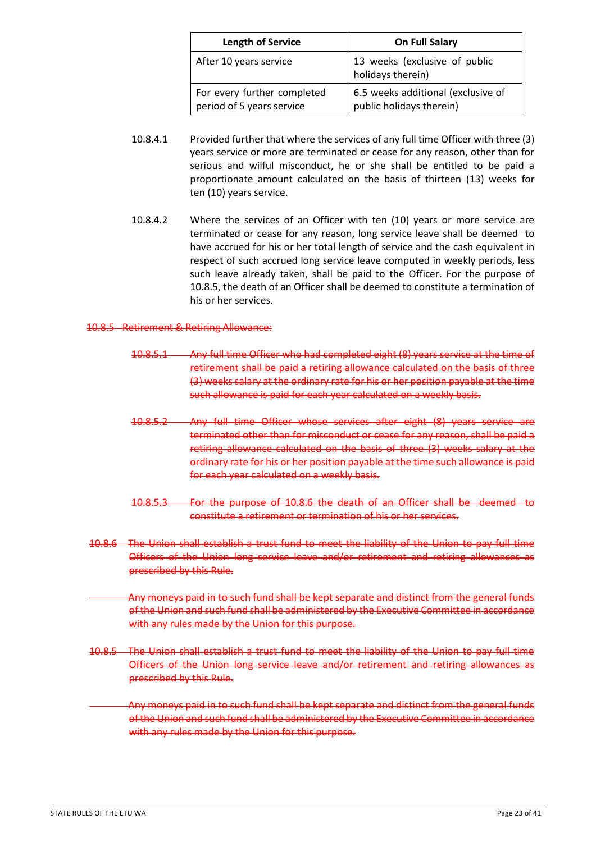| <b>Length of Service</b>                                 | <b>On Full Salary</b>                                          |
|----------------------------------------------------------|----------------------------------------------------------------|
| After 10 years service                                   | 13 weeks (exclusive of public<br>holidays therein)             |
| For every further completed<br>period of 5 years service | 6.5 weeks additional (exclusive of<br>public holidays therein) |

- 10.8.4.1 Provided further that where the services of any full time Officer with three (3) years service or more are terminated or cease for any reason, other than for serious and wilful misconduct, he or she shall be entitled to be paid a proportionate amount calculated on the basis of thirteen (13) weeks for ten (10) years service.
- 10.8.4.2 Where the services of an Officer with ten (10) years or more service are terminated or cease for any reason, long service leave shall be deemed to have accrued for his or her total length of service and the cash equivalent in respect of such accrued long service leave computed in weekly periods, less such leave already taken, shall be paid to the Officer. For the purpose of 10.8.5, the death of an Officer shall be deemed to constitute a termination of his or her services.

#### 10.8.5 Retirement & Retiring Allowance:

- 10.8.5.1 Any full time Officer who had completed eight (8) years service at the time of retirement shall be paid a retiring allowance calculated on the basis of three (3) weeks salary at the ordinary rate for his or her position payable at the time such allowance is paid for each year calculated on a weekly basis.
- 10.8.5.2 Any full time Officer whose services after eight (8) years service are terminated other than for misconduct or cease for any reason, shall be paid a retiring allowance calculated on the basis of three (3) weeks salary at the ordinary rate for his or her position payable at the time such allowance is paid for each year calculated on a weekly basis.
- 10.8.5.3 For the purpose of 10.8.6 the death of an Officer shall be deemed to constitute a retirement or termination of his or her services.
- 10.8.6 The Union shall establish a trust fund to meet the liability of the Union to pay full time Officers of the Union long service leave and/or retirement and retiring allowances as prescribed by this Rule.
- Any moneys paid in to such fund shall be kept separate and distinct from the general funds of the Union and such fund shall be administered by the Executive Committee in accordance with any rules made by the Union for this purpose.
- 10.8.5 The Union shall establish a trust fund to meet the liability of the Union to pay full time Officers of the Union long service leave and/or retirement and retiring allowances as prescribed by this Rule.
- Any moneys paid in to such fund shall be kept separate and distinct from the general funds of the Union and such fund shall be administered by the Executive Committee in accordance with any rules made by the Union for this purpose.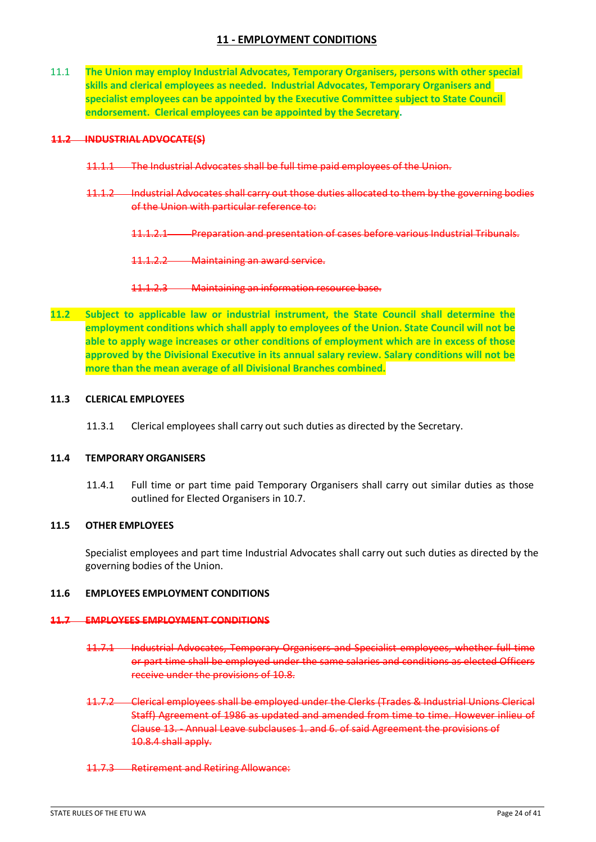# **11 - EMPLOYMENT CONDITIONS**

<span id="page-23-0"></span>11.1 **The Union may employ Industrial Advocates, Temporary Organisers, persons with other special skills and clerical employees as needed. Industrial Advocates, Temporary Organisers and specialist employees can be appointed by the Executive Committee subject to State Council endorsement. Clerical employees can be appointed by the Secretary.**

#### **11.2 INDUSTRIAL ADVOCATE(S)**

- 11.1.1 The Industrial Advocates shall be full time paid employees of the Union.
- 11.1.2 Industrial Advocates shall carry out those duties allocated to them by the governing bodies of the Union with particular reference to:
	- 11.1.2.1 Preparation and presentation of cases before various Industrial Tribunals.

11.1.2.2 Maintaining an award service.

- 11.1.2.3 Maintaining an information resource base.
- **11.2 Subject to applicable law or industrial instrument, the State Council shall determine the employment conditions which shall apply to employees of the Union. State Council will not be able to apply wage increases or other conditions of employment which are in excess of those approved by the Divisional Executive in its annual salary review. Salary conditions will not be more than the mean average of all Divisional Branches combined.**

#### <span id="page-23-1"></span>**11.3 CLERICAL EMPLOYEES**

11.3.1 Clerical employees shall carry out such duties as directed by the Secretary.

#### <span id="page-23-2"></span>**11.4 TEMPORARY ORGANISERS**

11.4.1 Full time or part time paid Temporary Organisers shall carry out similar duties as those outlined for Elected Organisers in 10.7.

### <span id="page-23-3"></span>**11.5 OTHER EMPLOYEES**

Specialist employees and part time Industrial Advocates shall carry out such duties as directed by the governing bodies of the Union.

### <span id="page-23-4"></span>**11.6 EMPLOYEES EMPLOYMENT CONDITIONS**

#### **11.7 EMPLOYEES EMPLOYMENT CONDITIONS**

- 11.7.1 Industrial Advocates, Temporary Organisers and Specialist employees, whether full time or part time shall be employed under the same salaries and conditions as elected Officers receive under the provisions of 10.8.
- 11.7.2 Clerical employees shall be employed under the Clerks (Trades & Industrial Unions Clerical Staff) Agreement of 1986 as updated and amended from time to time. However inlieu of Clause 13. - Annual Leave subclauses 1. and 6. of said Agreement the provisions of 10.8.4 shall apply.
- 11.7.3 Retirement and Retiring Allowance: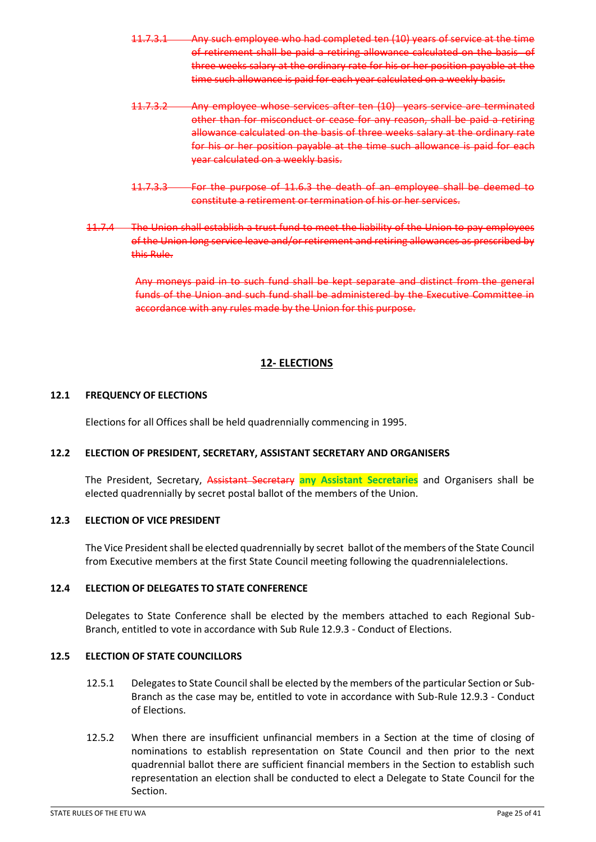- 11.7.3.1 Any such employee who had completed ten (10) years of service at the time of retirement shall be paid a retiring allowance calculated on the basis of three weeks salary at the ordinary rate for his or her position payable at the time such allowance is paid for each year calculated on a weekly basis.
- 11.7.3.2 Any employee whose services after ten (10) years service are terminated other than for misconduct or cease for any reason, shall be paid a retiring allowance calculated on the basis of three weeks salary at the ordinary rate for his or her position payable at the time such allowance is paid for each year calculated on a weekly basis.
- 11.7.3.3 For the purpose of 11.6.3 the death of an employee shall be deemed to constitute a retirement or termination of his or her services.
- 11.7.4 The Union shall establish a trust fund to meet the liability of the Union to pay employees of the Union long service leave and/or retirement and retiring allowances as prescribed by this Rule.

Any moneys paid in to such fund shall be kept separate and distinct from the general funds of the Union and such fund shall be administered by the Executive Committee in accordance with any rules made by the Union for this purpose.

# **12- ELECTIONS**

# <span id="page-24-1"></span><span id="page-24-0"></span>**12.1 FREQUENCY OF ELECTIONS**

Elections for all Offices shall be held quadrennially commencing in 1995.

# <span id="page-24-2"></span>**12.2 ELECTION OF PRESIDENT, SECRETARY, ASSISTANT SECRETARY AND ORGANISERS**

The President, Secretary, Assistant Secretary **any Assistant Secretaries** and Organisers shall be elected quadrennially by secret postal ballot of the members of the Union.

#### <span id="page-24-3"></span>**12.3 ELECTION OF VICE PRESIDENT**

The Vice President shall be elected quadrennially by secret ballot of the members of the State Council from Executive members at the first State Council meeting following the quadrennialelections.

### <span id="page-24-4"></span>**12.4 ELECTION OF DELEGATES TO STATE CONFERENCE**

Delegates to State Conference shall be elected by the members attached to each Regional Sub-Branch, entitled to vote in accordance with Sub Rule 12.9.3 - Conduct of Elections.

#### <span id="page-24-5"></span>**12.5 ELECTION OF STATE COUNCILLORS**

- 12.5.1 Delegates to State Council shall be elected by the members of the particular Section or Sub-Branch as the case may be, entitled to vote in accordance with Sub-Rule 12.9.3 - Conduct of Elections.
- 12.5.2 When there are insufficient unfinancial members in a Section at the time of closing of nominations to establish representation on State Council and then prior to the next quadrennial ballot there are sufficient financial members in the Section to establish such representation an election shall be conducted to elect a Delegate to State Council for the Section.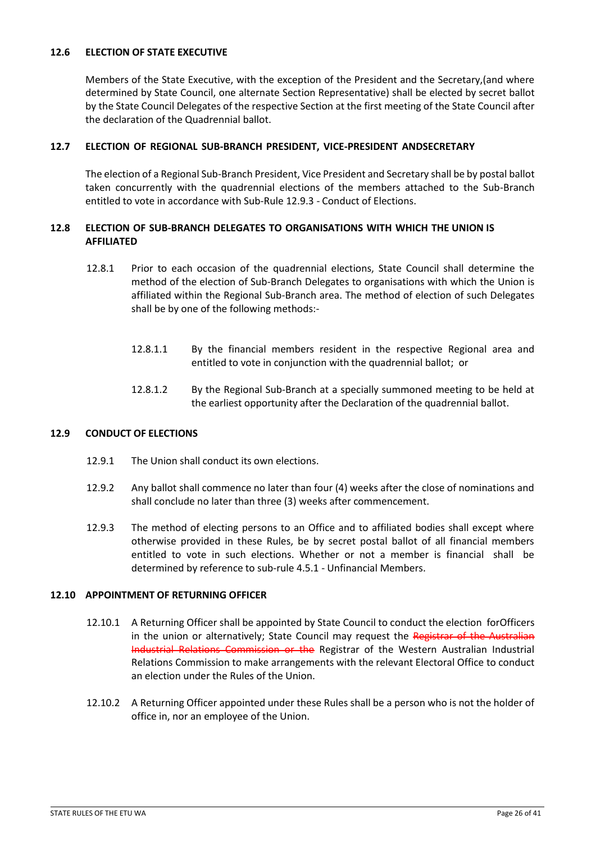### <span id="page-25-0"></span>**12.6 ELECTION OF STATE EXECUTIVE**

Members of the State Executive, with the exception of the President and the Secretary,(and where determined by State Council, one alternate Section Representative) shall be elected by secret ballot by the State Council Delegates of the respective Section at the first meeting of the State Council after the declaration of the Quadrennial ballot.

### <span id="page-25-1"></span>**12.7 ELECTION OF REGIONAL SUB-BRANCH PRESIDENT, VICE-PRESIDENT ANDSECRETARY**

The election of a Regional Sub-Branch President, Vice President and Secretary shall be by postal ballot taken concurrently with the quadrennial elections of the members attached to the Sub-Branch entitled to vote in accordance with Sub-Rule 12.9.3 - Conduct of Elections.

### <span id="page-25-2"></span>**12.8 ELECTION OF SUB-BRANCH DELEGATES TO ORGANISATIONS WITH WHICH THE UNION IS AFFILIATED**

- 12.8.1 Prior to each occasion of the quadrennial elections, State Council shall determine the method of the election of Sub-Branch Delegates to organisations with which the Union is affiliated within the Regional Sub-Branch area. The method of election of such Delegates shall be by one of the following methods:-
	- 12.8.1.1 By the financial members resident in the respective Regional area and entitled to vote in conjunction with the quadrennial ballot; or
	- 12.8.1.2 By the Regional Sub-Branch at a specially summoned meeting to be held at the earliest opportunity after the Declaration of the quadrennial ballot.

#### <span id="page-25-3"></span>**12.9 CONDUCT OF ELECTIONS**

- 12.9.1 The Union shall conduct its own elections.
- 12.9.2 Any ballot shall commence no later than four (4) weeks after the close of nominations and shall conclude no later than three (3) weeks after commencement.
- 12.9.3 The method of electing persons to an Office and to affiliated bodies shall except where otherwise provided in these Rules, be by secret postal ballot of all financial members entitled to vote in such elections. Whether or not a member is financial shall be determined by reference to sub-rule 4.5.1 - Unfinancial Members.

#### <span id="page-25-4"></span>**12.10 APPOINTMENT OF RETURNING OFFICER**

- 12.10.1 A Returning Officer shall be appointed by State Council to conduct the election forOfficers in the union or alternatively; State Council may request the Registrar of the Australian Industrial Relations Commission or the Registrar of the Western Australian Industrial Relations Commission to make arrangements with the relevant Electoral Office to conduct an election under the Rules of the Union.
- 12.10.2 A Returning Officer appointed under these Rules shall be a person who is not the holder of office in, nor an employee of the Union.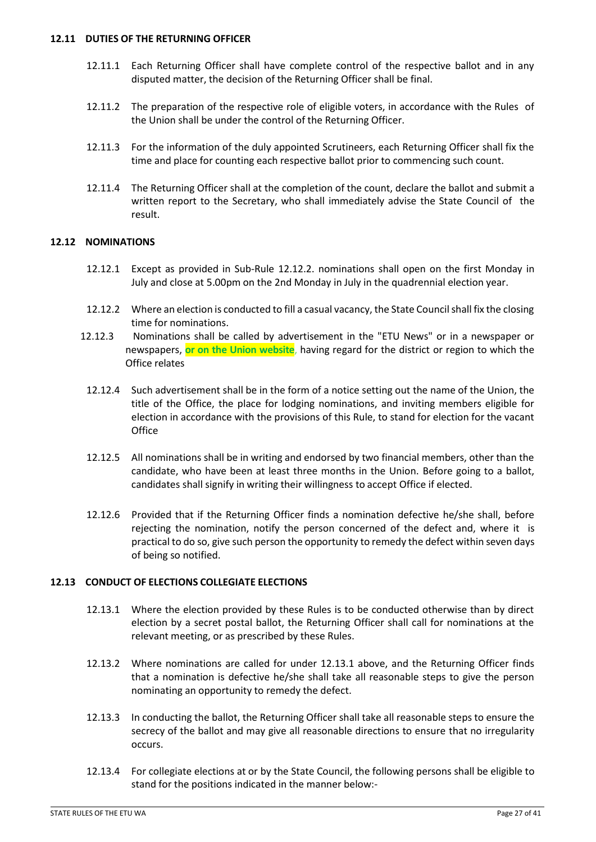#### <span id="page-26-0"></span>**12.11 DUTIES OF THE RETURNING OFFICER**

- 12.11.1 Each Returning Officer shall have complete control of the respective ballot and in any disputed matter, the decision of the Returning Officer shall be final.
- 12.11.2 The preparation of the respective role of eligible voters, in accordance with the Rules of the Union shall be under the control of the Returning Officer.
- 12.11.3 For the information of the duly appointed Scrutineers, each Returning Officer shall fix the time and place for counting each respective ballot prior to commencing such count.
- 12.11.4 The Returning Officer shall at the completion of the count, declare the ballot and submit a written report to the Secretary, who shall immediately advise the State Council of the result.

### <span id="page-26-1"></span>**12.12 NOMINATIONS**

- 12.12.1 Except as provided in Sub-Rule 12.12.2. nominations shall open on the first Monday in July and close at 5.00pm on the 2nd Monday in July in the quadrennial election year.
- 12.12.2 Where an election is conducted to fill a casual vacancy, the State Council shall fix the closing time for nominations.
- 12.12.3 Nominations shall be called by advertisement in the "ETU News" or in a newspaper or newspapers, **or on the Union website**, having regard for the district or region to which the Office relates
	- 12.12.4 Such advertisement shall be in the form of a notice setting out the name of the Union, the title of the Office, the place for lodging nominations, and inviting members eligible for election in accordance with the provisions of this Rule, to stand for election for the vacant **Office**
	- 12.12.5 All nominations shall be in writing and endorsed by two financial members, other than the candidate, who have been at least three months in the Union. Before going to a ballot, candidates shall signify in writing their willingness to accept Office if elected.
	- 12.12.6 Provided that if the Returning Officer finds a nomination defective he/she shall, before rejecting the nomination, notify the person concerned of the defect and, where it is practical to do so, give such person the opportunity to remedy the defect within seven days of being so notified.

#### <span id="page-26-2"></span>**12.13 CONDUCT OF ELECTIONS COLLEGIATE ELECTIONS**

- 12.13.1 Where the election provided by these Rules is to be conducted otherwise than by direct election by a secret postal ballot, the Returning Officer shall call for nominations at the relevant meeting, or as prescribed by these Rules.
- 12.13.2 Where nominations are called for under 12.13.1 above, and the Returning Officer finds that a nomination is defective he/she shall take all reasonable steps to give the person nominating an opportunity to remedy the defect.
- 12.13.3 In conducting the ballot, the Returning Officer shall take all reasonable steps to ensure the secrecy of the ballot and may give all reasonable directions to ensure that no irregularity occurs.
- 12.13.4 For collegiate elections at or by the State Council, the following persons shall be eligible to stand for the positions indicated in the manner below:-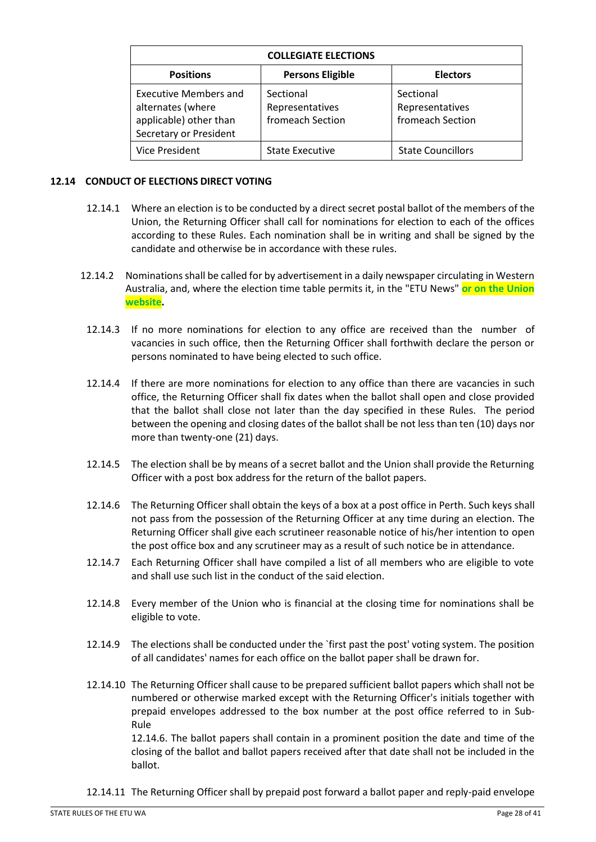| <b>COLLEGIATE ELECTIONS</b>                                                                    |                                                  |                                                  |  |  |
|------------------------------------------------------------------------------------------------|--------------------------------------------------|--------------------------------------------------|--|--|
| <b>Positions</b>                                                                               | <b>Persons Eligible</b>                          | <b>Electors</b>                                  |  |  |
| Executive Members and<br>alternates (where<br>applicable) other than<br>Secretary or President | Sectional<br>Representatives<br>fromeach Section | Sectional<br>Representatives<br>fromeach Section |  |  |
| Vice President                                                                                 | <b>State Executive</b>                           | <b>State Councillors</b>                         |  |  |

### <span id="page-27-0"></span>**12.14 CONDUCT OF ELECTIONS DIRECT VOTING**

- 12.14.1 Where an election is to be conducted by a direct secret postal ballot of the members of the Union, the Returning Officer shall call for nominations for election to each of the offices according to these Rules. Each nomination shall be in writing and shall be signed by the candidate and otherwise be in accordance with these rules.
- 12.14.2 Nominations shall be called for by advertisement in a daily newspaper circulating in Western Australia, and, where the election time table permits it, in the "ETU News" **or on the Union website.**
- 12.14.3 If no more nominations for election to any office are received than the number of vacancies in such office, then the Returning Officer shall forthwith declare the person or persons nominated to have being elected to such office.
- 12.14.4 If there are more nominations for election to any office than there are vacancies in such office, the Returning Officer shall fix dates when the ballot shall open and close provided that the ballot shall close not later than the day specified in these Rules. The period between the opening and closing dates of the ballot shall be not less than ten (10) days nor more than twenty-one (21) days.
- 12.14.5 The election shall be by means of a secret ballot and the Union shall provide the Returning Officer with a post box address for the return of the ballot papers.
- 12.14.6 The Returning Officer shall obtain the keys of a box at a post office in Perth. Such keys shall not pass from the possession of the Returning Officer at any time during an election. The Returning Officer shall give each scrutineer reasonable notice of his/her intention to open the post office box and any scrutineer may as a result of such notice be in attendance.
- 12.14.7 Each Returning Officer shall have compiled a list of all members who are eligible to vote and shall use such list in the conduct of the said election.
- 12.14.8 Every member of the Union who is financial at the closing time for nominations shall be eligible to vote.
- 12.14.9 The elections shall be conducted under the `first past the post' voting system. The position of all candidates' names for each office on the ballot paper shall be drawn for.
- 12.14.10 The Returning Officer shall cause to be prepared sufficient ballot papers which shall not be numbered or otherwise marked except with the Returning Officer's initials together with prepaid envelopes addressed to the box number at the post office referred to in Sub-Rule

12.14.6. The ballot papers shall contain in a prominent position the date and time of the closing of the ballot and ballot papers received after that date shall not be included in the ballot.

12.14.11 The Returning Officer shall by prepaid post forward a ballot paper and reply-paid envelope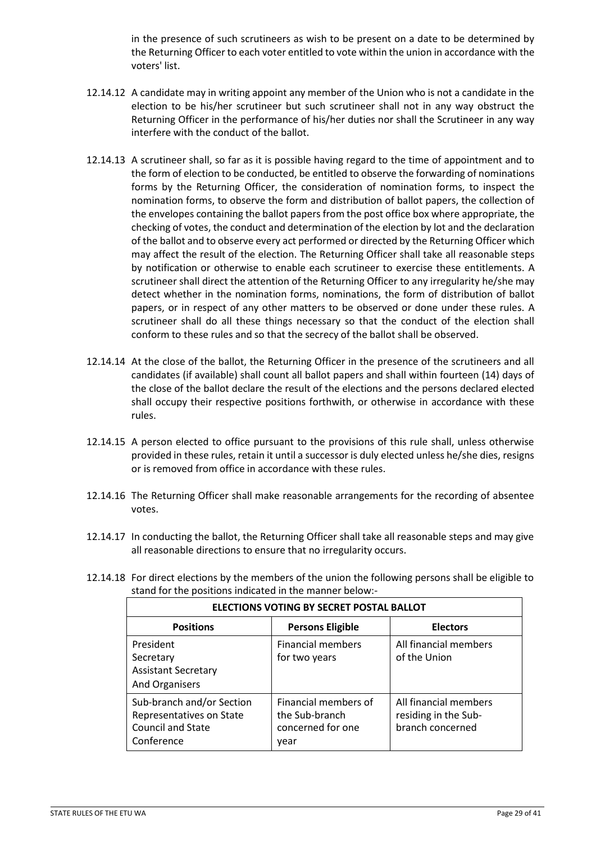in the presence of such scrutineers as wish to be present on a date to be determined by the Returning Officer to each voter entitled to vote within the union in accordance with the voters' list.

- 12.14.12 A candidate may in writing appoint any member of the Union who is not a candidate in the election to be his/her scrutineer but such scrutineer shall not in any way obstruct the Returning Officer in the performance of his/her duties nor shall the Scrutineer in any way interfere with the conduct of the ballot.
- 12.14.13 A scrutineer shall, so far as it is possible having regard to the time of appointment and to the form of election to be conducted, be entitled to observe the forwarding of nominations forms by the Returning Officer, the consideration of nomination forms, to inspect the nomination forms, to observe the form and distribution of ballot papers, the collection of the envelopes containing the ballot papers from the post office box where appropriate, the checking of votes, the conduct and determination of the election by lot and the declaration of the ballot and to observe every act performed or directed by the Returning Officer which may affect the result of the election. The Returning Officer shall take all reasonable steps by notification or otherwise to enable each scrutineer to exercise these entitlements. A scrutineer shall direct the attention of the Returning Officer to any irregularity he/she may detect whether in the nomination forms, nominations, the form of distribution of ballot papers, or in respect of any other matters to be observed or done under these rules. A scrutineer shall do all these things necessary so that the conduct of the election shall conform to these rules and so that the secrecy of the ballot shall be observed.
- 12.14.14 At the close of the ballot, the Returning Officer in the presence of the scrutineers and all candidates (if available) shall count all ballot papers and shall within fourteen (14) days of the close of the ballot declare the result of the elections and the persons declared elected shall occupy their respective positions forthwith, or otherwise in accordance with these rules.
- 12.14.15 A person elected to office pursuant to the provisions of this rule shall, unless otherwise provided in these rules, retain it until a successor is duly elected unless he/she dies, resigns or is removed from office in accordance with these rules.
- 12.14.16 The Returning Officer shall make reasonable arrangements for the recording of absentee votes.
- 12.14.17 In conducting the ballot, the Returning Officer shall take all reasonable steps and may give all reasonable directions to ensure that no irregularity occurs.
- 12.14.18 For direct elections by the members of the union the following persons shall be eligible to stand for the positions indicated in the manner below:-

| <b>ELECTIONS VOTING BY SECRET POSTAL BALLOT</b>                                                 |                                                                     |                                                                   |  |
|-------------------------------------------------------------------------------------------------|---------------------------------------------------------------------|-------------------------------------------------------------------|--|
| <b>Positions</b>                                                                                | <b>Persons Eligible</b>                                             | <b>Electors</b>                                                   |  |
| President<br>Secretary<br><b>Assistant Secretary</b><br>And Organisers                          | <b>Financial members</b><br>for two years                           | All financial members<br>of the Union                             |  |
| Sub-branch and/or Section<br>Representatives on State<br><b>Council and State</b><br>Conference | Financial members of<br>the Sub-branch<br>concerned for one<br>year | All financial members<br>residing in the Sub-<br>branch concerned |  |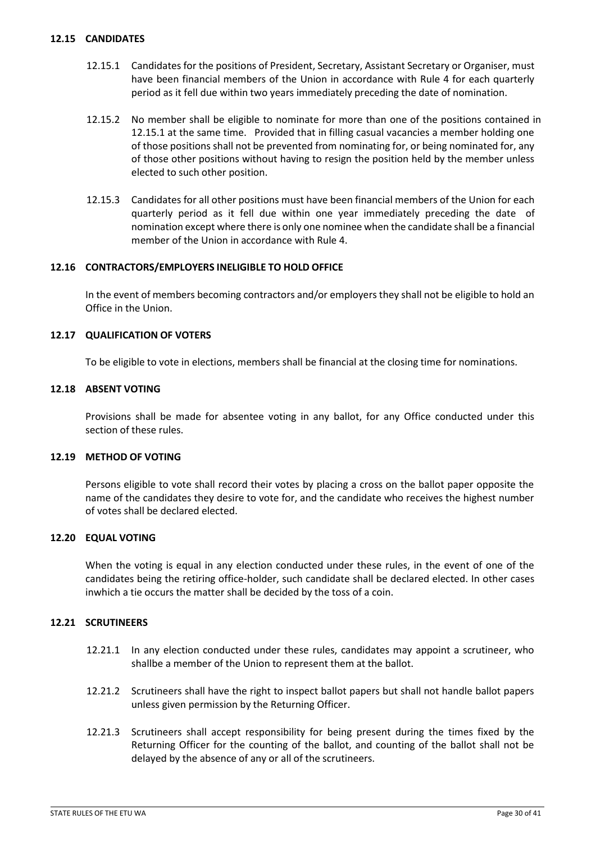#### <span id="page-29-0"></span>**12.15 CANDIDATES**

- 12.15.1 Candidates for the positions of President, Secretary, Assistant Secretary or Organiser, must have been financial members of the Union in accordance with Rule 4 for each quarterly period as it fell due within two years immediately preceding the date of nomination.
- 12.15.2 No member shall be eligible to nominate for more than one of the positions contained in 12.15.1 at the same time. Provided that in filling casual vacancies a member holding one of those positions shall not be prevented from nominating for, or being nominated for, any of those other positions without having to resign the position held by the member unless elected to such other position.
- 12.15.3 Candidates for all other positions must have been financial members of the Union for each quarterly period as it fell due within one year immediately preceding the date of nomination except where there is only one nominee when the candidate shall be a financial member of the Union in accordance with Rule 4.

#### <span id="page-29-1"></span>**12.16 CONTRACTORS/EMPLOYERS INELIGIBLE TO HOLD OFFICE**

In the event of members becoming contractors and/or employers they shall not be eligible to hold an Office in the Union.

#### <span id="page-29-2"></span>**12.17 QUALIFICATION OF VOTERS**

To be eligible to vote in elections, members shall be financial at the closing time for nominations.

#### <span id="page-29-3"></span>**12.18 ABSENT VOTING**

Provisions shall be made for absentee voting in any ballot, for any Office conducted under this section of these rules.

#### **12.19 METHOD OF VOTING**

Persons eligible to vote shall record their votes by placing a cross on the ballot paper opposite the name of the candidates they desire to vote for, and the candidate who receives the highest number of votes shall be declared elected.

#### **12.20 EQUAL VOTING**

When the voting is equal in any election conducted under these rules, in the event of one of the candidates being the retiring office-holder, such candidate shall be declared elected. In other cases inwhich a tie occurs the matter shall be decided by the toss of a coin.

#### **12.21 SCRUTINEERS**

- 12.21.1 In any election conducted under these rules, candidates may appoint a scrutineer, who shallbe a member of the Union to represent them at the ballot.
- 12.21.2 Scrutineers shall have the right to inspect ballot papers but shall not handle ballot papers unless given permission by the Returning Officer.
- 12.21.3 Scrutineers shall accept responsibility for being present during the times fixed by the Returning Officer for the counting of the ballot, and counting of the ballot shall not be delayed by the absence of any or all of the scrutineers.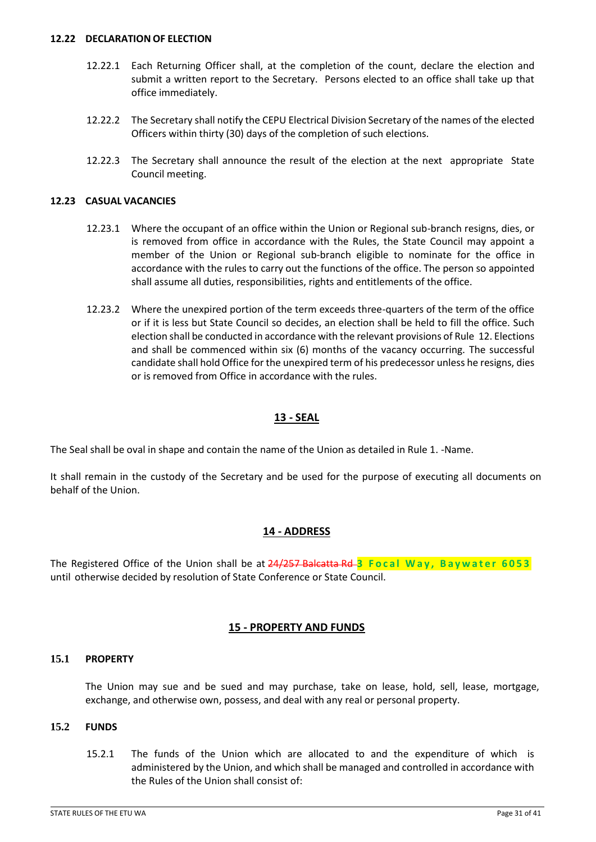#### **12.22 DECLARATION OF ELECTION**

- 12.22.1 Each Returning Officer shall, at the completion of the count, declare the election and submit a written report to the Secretary. Persons elected to an office shall take up that office immediately.
- 12.22.2 The Secretary shall notify the CEPU Electrical Division Secretary of the names of the elected Officers within thirty (30) days of the completion of such elections.
- 12.22.3 The Secretary shall announce the result of the election at the next appropriate State Council meeting.

### **12.23 CASUAL VACANCIES**

- 12.23.1 Where the occupant of an office within the Union or Regional sub-branch resigns, dies, or is removed from office in accordance with the Rules, the State Council may appoint a member of the Union or Regional sub-branch eligible to nominate for the office in accordance with the rules to carry out the functions of the office. The person so appointed shall assume all duties, responsibilities, rights and entitlements of the office.
- 12.23.2 Where the unexpired portion of the term exceeds three-quarters of the term of the office or if it is less but State Council so decides, an election shall be held to fill the office. Such election shall be conducted in accordance with the relevant provisions of Rule 12. Elections and shall be commenced within six (6) months of the vacancy occurring. The successful candidate shall hold Office for the unexpired term of his predecessor unless he resigns, dies or is removed from Office in accordance with the rules.

### **13 - SEAL**

<span id="page-30-0"></span>The Seal shall be oval in shape and contain the name of the Union as detailed in Rule 1. -Name.

It shall remain in the custody of the Secretary and be used for the purpose of executing all documents on behalf of the Union.

# **14 - ADDRESS**

<span id="page-30-1"></span>The Registered Office of the Union shall be at 24/257 Balcatta Rd **3 F o c a l W a y , B a y w a t e r 6 0 5 3** until otherwise decided by resolution of State Conference or State Council.

#### **15 - PROPERTY AND FUNDS**

#### <span id="page-30-2"></span>**15.1 PROPERTY**

The Union may sue and be sued and may purchase, take on lease, hold, sell, lease, mortgage, exchange, and otherwise own, possess, and deal with any real or personal property.

#### **15.2 FUNDS**

15.2.1 The funds of the Union which are allocated to and the expenditure of which is administered by the Union, and which shall be managed and controlled in accordance with the Rules of the Union shall consist of: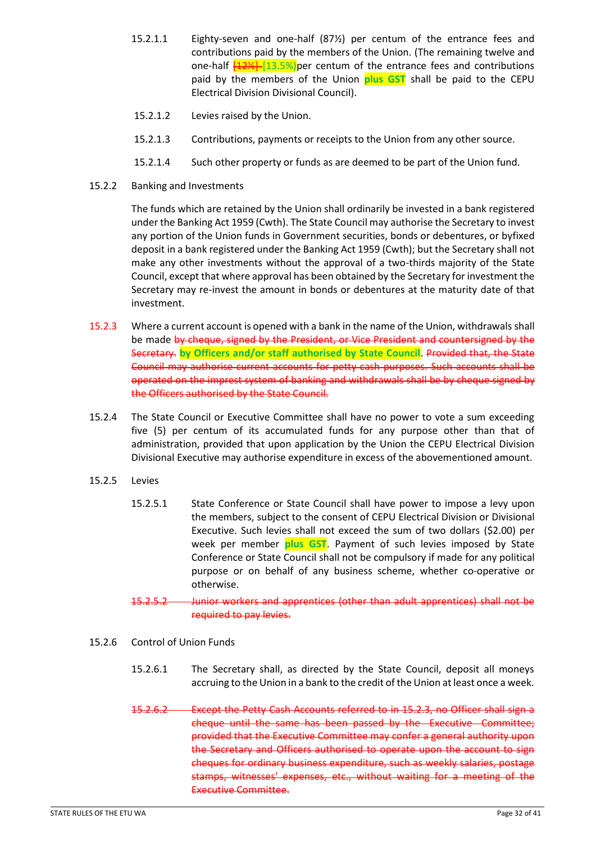- 15.2.1.1 Eighty-seven and one-half (87½) per centum of the entrance fees and contributions paid by the members of the Union. (The remaining twelve and one-half  $\frac{122}{13.5\%}$  per centum of the entrance fees and contributions paid by the members of the Union **plus GST** shall be paid to the CEPU Electrical Division Divisional Council).
- 15.2.1.2 Levies raised by the Union.
- 15.2.1.3 Contributions, payments or receipts to the Union from any other source.
- 15.2.1.4 Such other property or funds as are deemed to be part of the Union fund.
- 15.2.2 Banking and Investments

The funds which are retained by the Union shall ordinarily be invested in a bank registered under the Banking Act 1959 (Cwth). The State Council may authorise the Secretary to invest any portion of the Union funds in Government securities, bonds or debentures, or byfixed deposit in a bank registered under the Banking Act 1959 (Cwth); but the Secretary shall not make any other investments without the approval of a two-thirds majority of the State Council, except that where approval has been obtained by the Secretary for investment the Secretary may re-invest the amount in bonds or debentures at the maturity date of that investment.

- 15.2.3 Where a current account is opened with a bank in the name of the Union, withdrawals shall be made by cheque, signed by the President, or Vice President and countersigned by the Secretary. **by Officers and/or staff authorised by State Council**. Provided that, the State Council may authorise current accounts for petty cash purposes. Such accounts shall be operated on the imprest system of banking and withdrawals shall be by cheque signed by the Officers authorised by the State Council.
- 15.2.4 The State Council or Executive Committee shall have no power to vote a sum exceeding five (5) per centum of its accumulated funds for any purpose other than that of administration, provided that upon application by the Union the CEPU Electrical Division Divisional Executive may authorise expenditure in excess of the abovementioned amount.
- 15.2.5 Levies
	- 15.2.5.1 State Conference or State Council shall have power to impose a levy upon the members, subject to the consent of CEPU Electrical Division or Divisional Executive. Such levies shall not exceed the sum of two dollars (\$2.00) per week per member **plus GST**. Payment of such levies imposed by State Conference or State Council shall not be compulsory if made for any political purpose or on behalf of any business scheme, whether co-operative or otherwise.
	- 15.2.5.2 Junior workers and apprentices (other than adult apprentices) shall not be required to pay levies.
- 15.2.6 Control of Union Funds
	- 15.2.6.1 The Secretary shall, as directed by the State Council, deposit all moneys accruing to the Union in a bank to the credit of the Union at least once a week.
	- 15.2.6.2 Except the Petty Cash Accounts referred to in 15.2.3, no Officer shall sign a cheque until the same has been passed by the Executive Committee; provided that the Executive Committee may confer a general authority upon the Secretary and Officers authorised to operate upon the account to sign cheques for ordinary business expenditure, such as weekly salaries, postage stamps, witnesses' expenses, etc., without waiting for a meeting of the Executive Committee.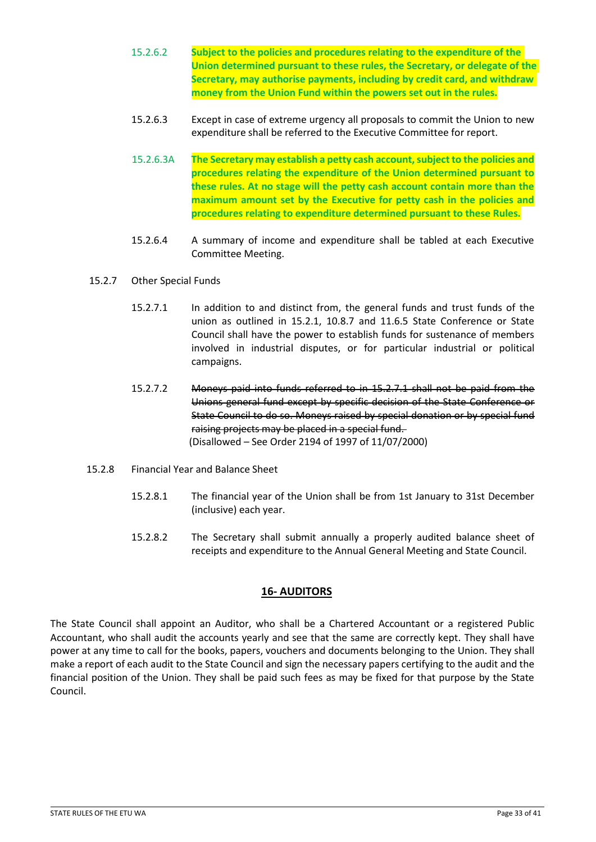- 15.2.6.2 **Subject to the policies and procedures relating to the expenditure of the Union determined pursuant to these rules, the Secretary, or delegate of the Secretary, may authorise payments, including by credit card, and withdraw money from the Union Fund within the powers set out in the rules.**
- 15.2.6.3 Except in case of extreme urgency all proposals to commit the Union to new expenditure shall be referred to the Executive Committee for report.
- 15.2.6.3A **The Secretary may establish a petty cash account, subject to the policies and procedures relating the expenditure of the Union determined pursuant to these rules. At no stage will the petty cash account contain more than the maximum amount set by the Executive for petty cash in the policies and procedures relating to expenditure determined pursuant to these Rules.**
- 15.2.6.4 A summary of income and expenditure shall be tabled at each Executive Committee Meeting.
- 15.2.7 Other Special Funds
	- 15.2.7.1 In addition to and distinct from, the general funds and trust funds of the union as outlined in 15.2.1, 10.8.7 and 11.6.5 State Conference or State Council shall have the power to establish funds for sustenance of members involved in industrial disputes, or for particular industrial or political campaigns.
	- 15.2.7.2 Moneys paid into funds referred to in 15.2.7.1 shall not be paid from the Unions general fund except by specific decision of the State Conference or State Council to do so. Moneys raised by special donation or by special fund raising projects may be placed in a special fund. (Disallowed – See Order 2194 of 1997 of 11/07/2000)
- 15.2.8 Financial Year and Balance Sheet
	- 15.2.8.1 The financial year of the Union shall be from 1st January to 31st December (inclusive) each year.
	- 15.2.8.2 The Secretary shall submit annually a properly audited balance sheet of receipts and expenditure to the Annual General Meeting and State Council.

# **16- AUDITORS**

<span id="page-32-0"></span>The State Council shall appoint an Auditor, who shall be a Chartered Accountant or a registered Public Accountant, who shall audit the accounts yearly and see that the same are correctly kept. They shall have power at any time to call for the books, papers, vouchers and documents belonging to the Union. They shall make a report of each audit to the State Council and sign the necessary papers certifying to the audit and the financial position of the Union. They shall be paid such fees as may be fixed for that purpose by the State Council.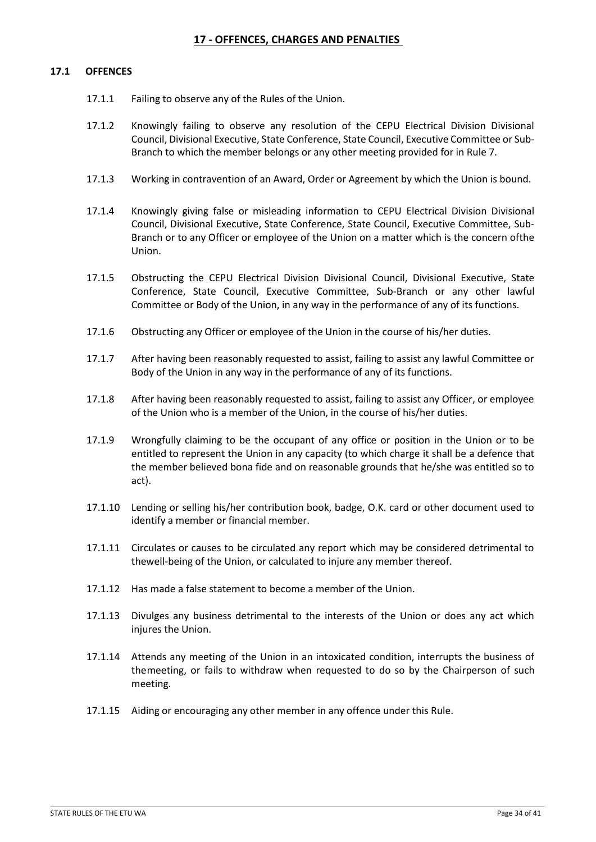### **17 - OFFENCES, CHARGES AND PENALTIES**

#### <span id="page-33-0"></span>**17.1 OFFENCES**

- 17.1.1 Failing to observe any of the Rules of the Union.
- 17.1.2 Knowingly failing to observe any resolution of the CEPU Electrical Division Divisional Council, Divisional Executive, State Conference, State Council, Executive Committee or Sub-Branch to which the member belongs or any other meeting provided for in Rule 7.
- 17.1.3 Working in contravention of an Award, Order or Agreement by which the Union is bound.
- 17.1.4 Knowingly giving false or misleading information to CEPU Electrical Division Divisional Council, Divisional Executive, State Conference, State Council, Executive Committee, Sub-Branch or to any Officer or employee of the Union on a matter which is the concern ofthe Union.
- 17.1.5 Obstructing the CEPU Electrical Division Divisional Council, Divisional Executive, State Conference, State Council, Executive Committee, Sub-Branch or any other lawful Committee or Body of the Union, in any way in the performance of any of its functions.
- 17.1.6 Obstructing any Officer or employee of the Union in the course of his/her duties.
- 17.1.7 After having been reasonably requested to assist, failing to assist any lawful Committee or Body of the Union in any way in the performance of any of its functions.
- 17.1.8 After having been reasonably requested to assist, failing to assist any Officer, or employee of the Union who is a member of the Union, in the course of his/her duties.
- 17.1.9 Wrongfully claiming to be the occupant of any office or position in the Union or to be entitled to represent the Union in any capacity (to which charge it shall be a defence that the member believed bona fide and on reasonable grounds that he/she was entitled so to act).
- 17.1.10 Lending or selling his/her contribution book, badge, O.K. card or other document used to identify a member or financial member.
- 17.1.11 Circulates or causes to be circulated any report which may be considered detrimental to thewell-being of the Union, or calculated to injure any member thereof.
- 17.1.12 Has made a false statement to become a member of the Union.
- 17.1.13 Divulges any business detrimental to the interests of the Union or does any act which injures the Union.
- 17.1.14 Attends any meeting of the Union in an intoxicated condition, interrupts the business of themeeting, or fails to withdraw when requested to do so by the Chairperson of such meeting.
- 17.1.15 Aiding or encouraging any other member in any offence under this Rule.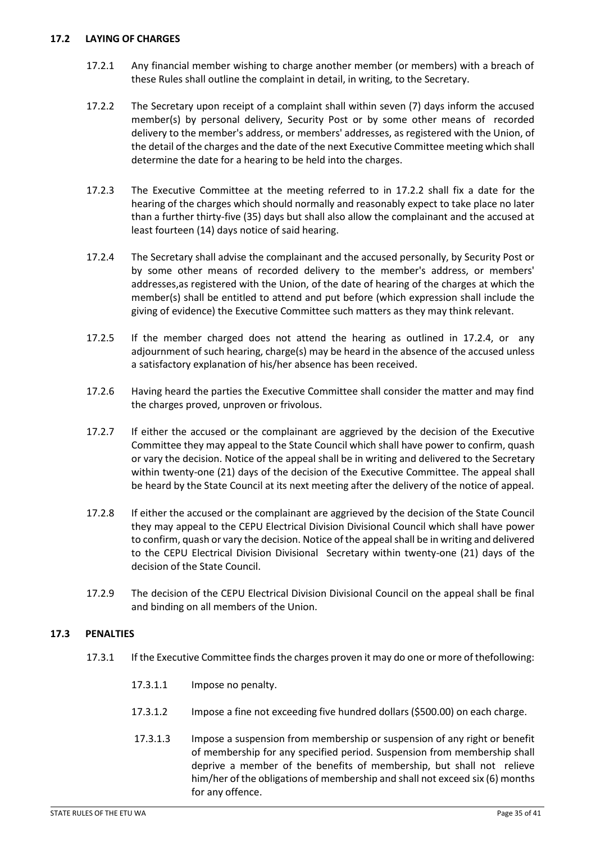### **17.2 LAYING OF CHARGES**

- 17.2.1 Any financial member wishing to charge another member (or members) with a breach of these Rules shall outline the complaint in detail, in writing, to the Secretary.
- 17.2.2 The Secretary upon receipt of a complaint shall within seven (7) days inform the accused member(s) by personal delivery, Security Post or by some other means of recorded delivery to the member's address, or members' addresses, as registered with the Union, of the detail of the charges and the date of the next Executive Committee meeting which shall determine the date for a hearing to be held into the charges.
- 17.2.3 The Executive Committee at the meeting referred to in 17.2.2 shall fix a date for the hearing of the charges which should normally and reasonably expect to take place no later than a further thirty-five (35) days but shall also allow the complainant and the accused at least fourteen (14) days notice of said hearing.
- 17.2.4 The Secretary shall advise the complainant and the accused personally, by Security Post or by some other means of recorded delivery to the member's address, or members' addresses,as registered with the Union, of the date of hearing of the charges at which the member(s) shall be entitled to attend and put before (which expression shall include the giving of evidence) the Executive Committee such matters as they may think relevant.
- 17.2.5 If the member charged does not attend the hearing as outlined in 17.2.4, or any adjournment of such hearing, charge(s) may be heard in the absence of the accused unless a satisfactory explanation of his/her absence has been received.
- 17.2.6 Having heard the parties the Executive Committee shall consider the matter and may find the charges proved, unproven or frivolous.
- 17.2.7 If either the accused or the complainant are aggrieved by the decision of the Executive Committee they may appeal to the State Council which shall have power to confirm, quash or vary the decision. Notice of the appeal shall be in writing and delivered to the Secretary within twenty-one (21) days of the decision of the Executive Committee. The appeal shall be heard by the State Council at its next meeting after the delivery of the notice of appeal.
- 17.2.8 If either the accused or the complainant are aggrieved by the decision of the State Council they may appeal to the CEPU Electrical Division Divisional Council which shall have power to confirm, quash or vary the decision. Notice of the appeal shall be in writing and delivered to the CEPU Electrical Division Divisional Secretary within twenty-one (21) days of the decision of the State Council.
- 17.2.9 The decision of the CEPU Electrical Division Divisional Council on the appeal shall be final and binding on all members of the Union.

# **17.3 PENALTIES**

- 17.3.1 If the Executive Committee finds the charges proven it may do one or more of thefollowing:
	- 17.3.1.1 Impose no penalty.
	- 17.3.1.2 Impose a fine not exceeding five hundred dollars (\$500.00) on each charge.
	- 17.3.1.3 Impose a suspension from membership or suspension of any right or benefit of membership for any specified period. Suspension from membership shall deprive a member of the benefits of membership, but shall not relieve him/her of the obligations of membership and shall not exceed six (6) months for any offence.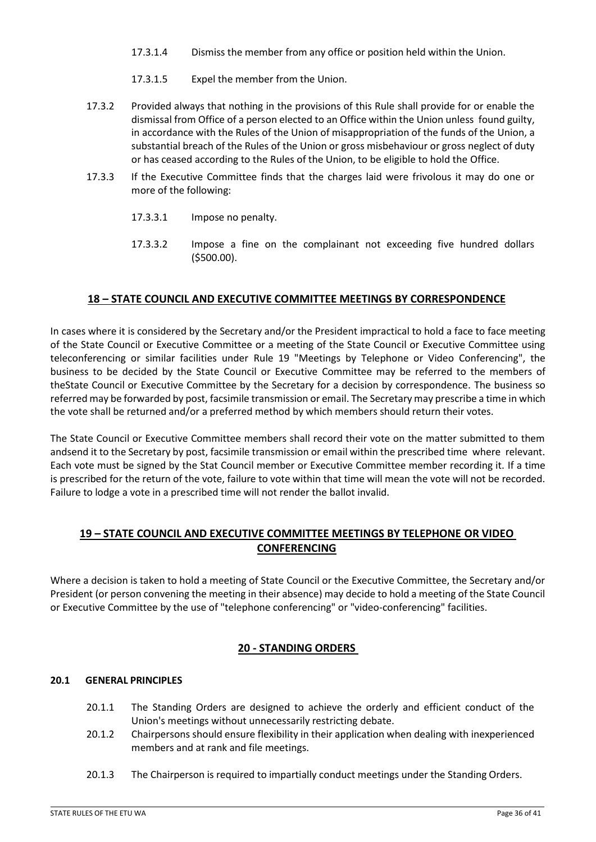- 17.3.1.4 Dismiss the member from any office or position held within the Union.
- 17.3.1.5 Expel the member from the Union.
- 17.3.2 Provided always that nothing in the provisions of this Rule shall provide for or enable the dismissal from Office of a person elected to an Office within the Union unless found guilty, in accordance with the Rules of the Union of misappropriation of the funds of the Union, a substantial breach of the Rules of the Union or gross misbehaviour or gross neglect of duty or has ceased according to the Rules of the Union, to be eligible to hold the Office.
- 17.3.3 If the Executive Committee finds that the charges laid were frivolous it may do one or more of the following:
	- 17.3.3.1 Impose no penalty.
	- 17.3.3.2 Impose a fine on the complainant not exceeding five hundred dollars (\$500.00).

### **18 – STATE COUNCIL AND EXECUTIVE COMMITTEE MEETINGS BY CORRESPONDENCE**

<span id="page-35-0"></span>In cases where it is considered by the Secretary and/or the President impractical to hold a face to face meeting of the State Council or Executive Committee or a meeting of the State Council or Executive Committee using teleconferencing or similar facilities under Rule 19 "Meetings by Telephone or Video Conferencing", the business to be decided by the State Council or Executive Committee may be referred to the members of theState Council or Executive Committee by the Secretary for a decision by correspondence. The business so referred may be forwarded by post, facsimile transmission or email. The Secretary may prescribe a time in which the vote shall be returned and/or a preferred method by which members should return their votes.

The State Council or Executive Committee members shall record their vote on the matter submitted to them andsend it to the Secretary by post, facsimile transmission or email within the prescribed time where relevant. Each vote must be signed by the Stat Council member or Executive Committee member recording it. If a time is prescribed for the return of the vote, failure to vote within that time will mean the vote will not be recorded. Failure to lodge a vote in a prescribed time will not render the ballot invalid.

# **19 – STATE COUNCIL AND EXECUTIVE COMMITTEE MEETINGS BY TELEPHONE OR VIDEO CONFERENCING**

Where a decision is taken to hold a meeting of State Council or the Executive Committee, the Secretary and/or President (or person convening the meeting in their absence) may decide to hold a meeting of the State Council or Executive Committee by the use of "telephone conferencing" or "video-conferencing" facilities.

# **20 - STANDING ORDERS**

#### <span id="page-35-1"></span>**20.1 GENERAL PRINCIPLES**

- 20.1.1 The Standing Orders are designed to achieve the orderly and efficient conduct of the Union's meetings without unnecessarily restricting debate.
- 20.1.2 Chairpersons should ensure flexibility in their application when dealing with inexperienced members and at rank and file meetings.
- 20.1.3 The Chairperson is required to impartially conduct meetings under the Standing Orders.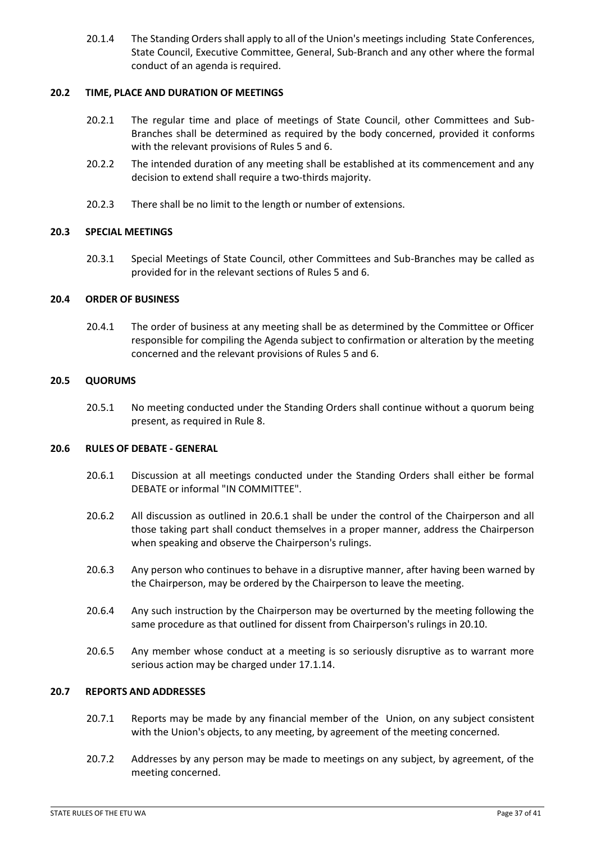20.1.4 The Standing Orders shall apply to all of the Union's meetings including State Conferences, State Council, Executive Committee, General, Sub-Branch and any other where the formal conduct of an agenda is required.

#### **20.2 TIME, PLACE AND DURATION OF MEETINGS**

- 20.2.1 The regular time and place of meetings of State Council, other Committees and Sub-Branches shall be determined as required by the body concerned, provided it conforms with the relevant provisions of Rules 5 and 6.
- 20.2.2 The intended duration of any meeting shall be established at its commencement and any decision to extend shall require a two-thirds majority.
- 20.2.3 There shall be no limit to the length or number of extensions.

### **20.3 SPECIAL MEETINGS**

20.3.1 Special Meetings of State Council, other Committees and Sub-Branches may be called as provided for in the relevant sections of Rules 5 and 6.

#### **20.4 ORDER OF BUSINESS**

20.4.1 The order of business at any meeting shall be as determined by the Committee or Officer responsible for compiling the Agenda subject to confirmation or alteration by the meeting concerned and the relevant provisions of Rules 5 and 6.

#### **20.5 QUORUMS**

20.5.1 No meeting conducted under the Standing Orders shall continue without a quorum being present, as required in Rule 8.

#### **20.6 RULES OF DEBATE - GENERAL**

- 20.6.1 Discussion at all meetings conducted under the Standing Orders shall either be formal DEBATE or informal "IN COMMITTEE".
- 20.6.2 All discussion as outlined in 20.6.1 shall be under the control of the Chairperson and all those taking part shall conduct themselves in a proper manner, address the Chairperson when speaking and observe the Chairperson's rulings.
- 20.6.3 Any person who continues to behave in a disruptive manner, after having been warned by the Chairperson, may be ordered by the Chairperson to leave the meeting.
- 20.6.4 Any such instruction by the Chairperson may be overturned by the meeting following the same procedure as that outlined for dissent from Chairperson's rulings in 20.10.
- 20.6.5 Any member whose conduct at a meeting is so seriously disruptive as to warrant more serious action may be charged under 17.1.14.

### **20.7 REPORTS AND ADDRESSES**

- 20.7.1 Reports may be made by any financial member of the Union, on any subject consistent with the Union's objects, to any meeting, by agreement of the meeting concerned.
- 20.7.2 Addresses by any person may be made to meetings on any subject, by agreement, of the meeting concerned.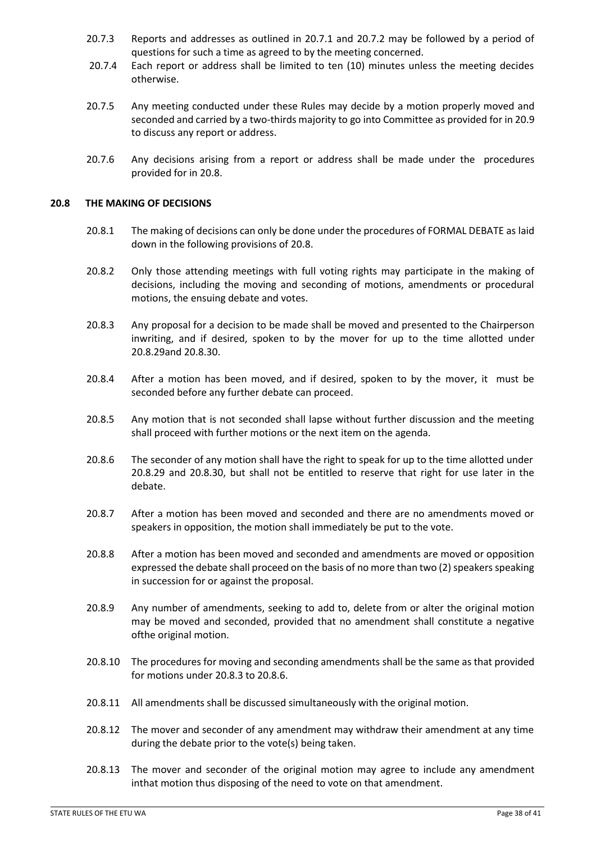- 20.7.3 Reports and addresses as outlined in 20.7.1 and 20.7.2 may be followed by a period of questions for such a time as agreed to by the meeting concerned.
- 20.7.4 Each report or address shall be limited to ten (10) minutes unless the meeting decides otherwise.
- 20.7.5 Any meeting conducted under these Rules may decide by a motion properly moved and seconded and carried by a two-thirds majority to go into Committee as provided for in 20.9 to discuss any report or address.
- 20.7.6 Any decisions arising from a report or address shall be made under the procedures provided for in 20.8.

#### **20.8 THE MAKING OF DECISIONS**

- 20.8.1 The making of decisions can only be done under the procedures of FORMAL DEBATE as laid down in the following provisions of 20.8.
- 20.8.2 Only those attending meetings with full voting rights may participate in the making of decisions, including the moving and seconding of motions, amendments or procedural motions, the ensuing debate and votes.
- 20.8.3 Any proposal for a decision to be made shall be moved and presented to the Chairperson inwriting, and if desired, spoken to by the mover for up to the time allotted under 20.8.29and 20.8.30.
- 20.8.4 After a motion has been moved, and if desired, spoken to by the mover, it must be seconded before any further debate can proceed.
- 20.8.5 Any motion that is not seconded shall lapse without further discussion and the meeting shall proceed with further motions or the next item on the agenda.
- 20.8.6 The seconder of any motion shall have the right to speak for up to the time allotted under 20.8.29 and 20.8.30, but shall not be entitled to reserve that right for use later in the debate.
- 20.8.7 After a motion has been moved and seconded and there are no amendments moved or speakers in opposition, the motion shall immediately be put to the vote.
- 20.8.8 After a motion has been moved and seconded and amendments are moved or opposition expressed the debate shall proceed on the basis of no more than two (2) speakers speaking in succession for or against the proposal.
- 20.8.9 Any number of amendments, seeking to add to, delete from or alter the original motion may be moved and seconded, provided that no amendment shall constitute a negative ofthe original motion.
- 20.8.10 The procedures for moving and seconding amendments shall be the same as that provided for motions under 20.8.3 to 20.8.6.
- 20.8.11 All amendments shall be discussed simultaneously with the original motion.
- 20.8.12 The mover and seconder of any amendment may withdraw their amendment at any time during the debate prior to the vote(s) being taken.
- 20.8.13 The mover and seconder of the original motion may agree to include any amendment inthat motion thus disposing of the need to vote on that amendment.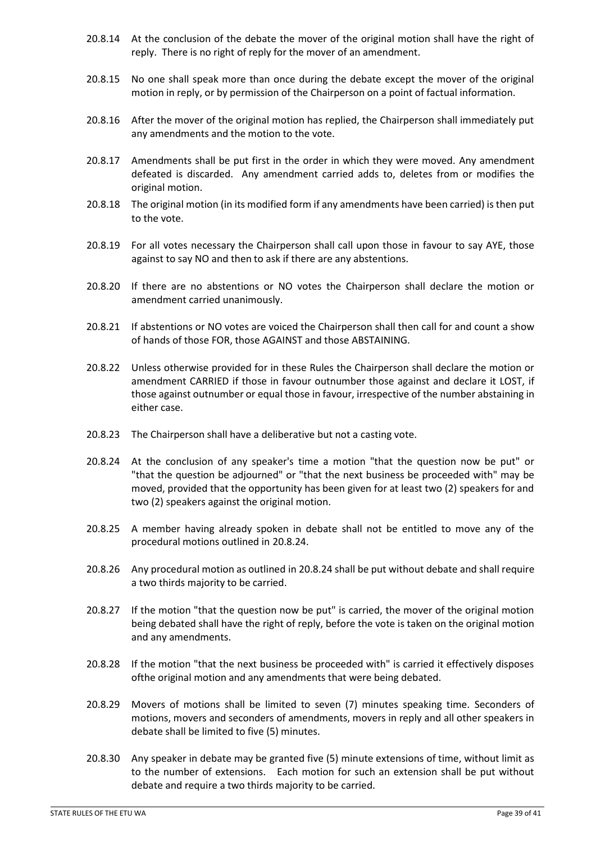- 20.8.14 At the conclusion of the debate the mover of the original motion shall have the right of reply. There is no right of reply for the mover of an amendment.
- 20.8.15 No one shall speak more than once during the debate except the mover of the original motion in reply, or by permission of the Chairperson on a point of factual information.
- 20.8.16 After the mover of the original motion has replied, the Chairperson shall immediately put any amendments and the motion to the vote.
- 20.8.17 Amendments shall be put first in the order in which they were moved. Any amendment defeated is discarded. Any amendment carried adds to, deletes from or modifies the original motion.
- 20.8.18 The original motion (in its modified form if any amendments have been carried) is then put to the vote.
- 20.8.19 For all votes necessary the Chairperson shall call upon those in favour to say AYE, those against to say NO and then to ask if there are any abstentions.
- 20.8.20 If there are no abstentions or NO votes the Chairperson shall declare the motion or amendment carried unanimously.
- 20.8.21 If abstentions or NO votes are voiced the Chairperson shall then call for and count a show of hands of those FOR, those AGAINST and those ABSTAINING.
- 20.8.22 Unless otherwise provided for in these Rules the Chairperson shall declare the motion or amendment CARRIED if those in favour outnumber those against and declare it LOST, if those against outnumber or equal those in favour, irrespective of the number abstaining in either case.
- 20.8.23 The Chairperson shall have a deliberative but not a casting vote.
- 20.8.24 At the conclusion of any speaker's time a motion "that the question now be put" or "that the question be adjourned" or "that the next business be proceeded with" may be moved, provided that the opportunity has been given for at least two (2) speakers for and two (2) speakers against the original motion.
- 20.8.25 A member having already spoken in debate shall not be entitled to move any of the procedural motions outlined in 20.8.24.
- 20.8.26 Any procedural motion as outlined in 20.8.24 shall be put without debate and shall require a two thirds majority to be carried.
- 20.8.27 If the motion "that the question now be put" is carried, the mover of the original motion being debated shall have the right of reply, before the vote is taken on the original motion and any amendments.
- 20.8.28 If the motion "that the next business be proceeded with" is carried it effectively disposes ofthe original motion and any amendments that were being debated.
- 20.8.29 Movers of motions shall be limited to seven (7) minutes speaking time. Seconders of motions, movers and seconders of amendments, movers in reply and all other speakers in debate shall be limited to five (5) minutes.
- 20.8.30 Any speaker in debate may be granted five (5) minute extensions of time, without limit as to the number of extensions. Each motion for such an extension shall be put without debate and require a two thirds majority to be carried.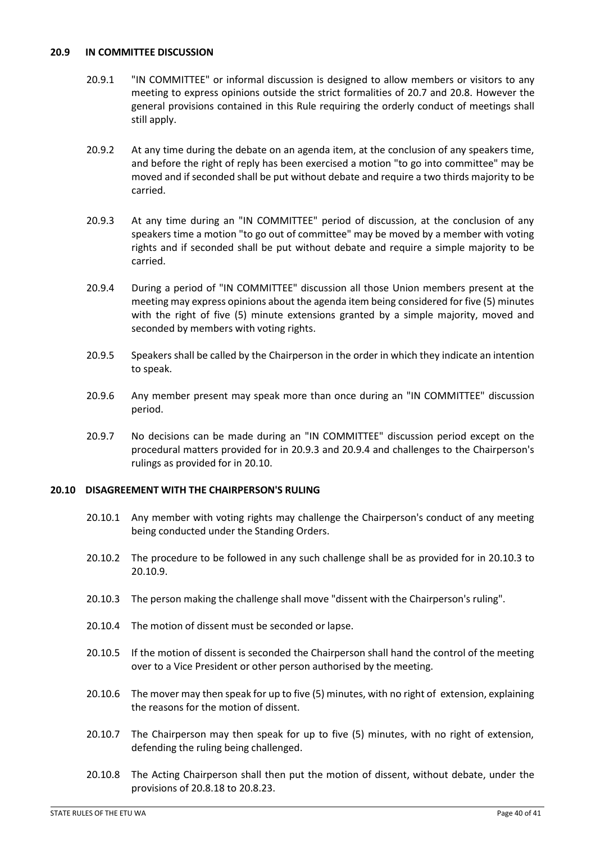#### **20.9 IN COMMITTEE DISCUSSION**

- 20.9.1 "IN COMMITTEE" or informal discussion is designed to allow members or visitors to any meeting to express opinions outside the strict formalities of 20.7 and 20.8. However the general provisions contained in this Rule requiring the orderly conduct of meetings shall still apply.
- 20.9.2 At any time during the debate on an agenda item, at the conclusion of any speakers time, and before the right of reply has been exercised a motion "to go into committee" may be moved and if seconded shall be put without debate and require a two thirds majority to be carried.
- 20.9.3 At any time during an "IN COMMITTEE" period of discussion, at the conclusion of any speakers time a motion "to go out of committee" may be moved by a member with voting rights and if seconded shall be put without debate and require a simple majority to be carried.
- 20.9.4 During a period of "IN COMMITTEE" discussion all those Union members present at the meeting may express opinions about the agenda item being considered for five (5) minutes with the right of five (5) minute extensions granted by a simple majority, moved and seconded by members with voting rights.
- 20.9.5 Speakers shall be called by the Chairperson in the order in which they indicate an intention to speak.
- 20.9.6 Any member present may speak more than once during an "IN COMMITTEE" discussion period.
- 20.9.7 No decisions can be made during an "IN COMMITTEE" discussion period except on the procedural matters provided for in 20.9.3 and 20.9.4 and challenges to the Chairperson's rulings as provided for in 20.10.

#### **20.10 DISAGREEMENT WITH THE CHAIRPERSON'S RULING**

- 20.10.1 Any member with voting rights may challenge the Chairperson's conduct of any meeting being conducted under the Standing Orders.
- 20.10.2 The procedure to be followed in any such challenge shall be as provided for in 20.10.3 to 20.10.9.
- 20.10.3 The person making the challenge shall move "dissent with the Chairperson's ruling".
- 20.10.4 The motion of dissent must be seconded or lapse.
- 20.10.5 If the motion of dissent is seconded the Chairperson shall hand the control of the meeting over to a Vice President or other person authorised by the meeting.
- 20.10.6 The mover may then speak for up to five (5) minutes, with no right of extension, explaining the reasons for the motion of dissent.
- 20.10.7 The Chairperson may then speak for up to five (5) minutes, with no right of extension, defending the ruling being challenged.
- 20.10.8 The Acting Chairperson shall then put the motion of dissent, without debate, under the provisions of 20.8.18 to 20.8.23.